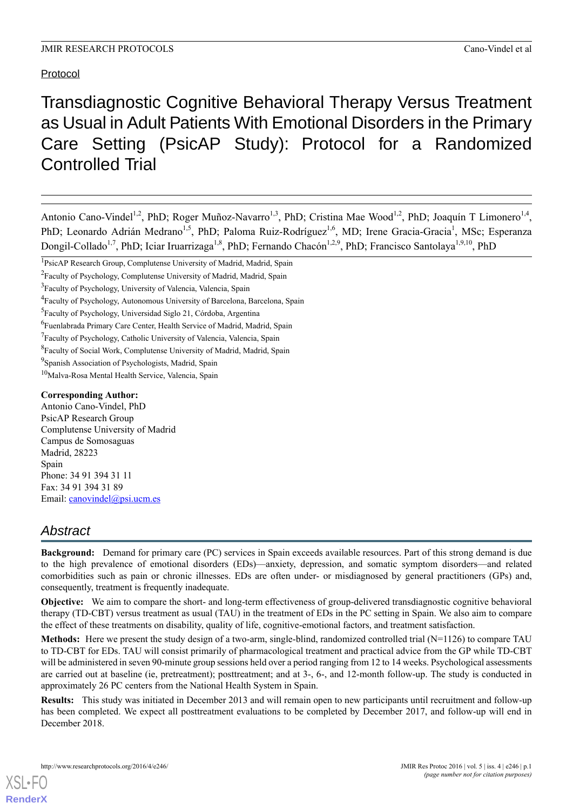## Protocol

# Transdiagnostic Cognitive Behavioral Therapy Versus Treatment as Usual in Adult Patients With Emotional Disorders in the Primary Care Setting (PsicAP Study): Protocol for a Randomized Controlled Trial

Antonio Cano-Vindel<sup>1,2</sup>, PhD; Roger Muñoz-Navarro<sup>1,3</sup>, PhD; Cristina Mae Wood<sup>1,2</sup>, PhD; Joaquín T Limonero<sup>1,4</sup>, PhD; Leonardo Adrián Medrano<sup>1,5</sup>, PhD; Paloma Ruiz-Rodríguez<sup>1,6</sup>, MD; Irene Gracia-Gracia<sup>1</sup>, MSc; Esperanza Dongil-Collado<sup>1,7</sup>, PhD; Iciar Iruarrizaga<sup>1,8</sup>, PhD; Fernando Chacón<sup>1,2,9</sup>, PhD; Francisco Santolaya<sup>1,9,10</sup>, PhD

#### **Corresponding Author:**

Antonio Cano-Vindel, PhD PsicAP Research Group Complutense University of Madrid Campus de Somosaguas Madrid, 28223 Spain Phone: 34 91 394 31 11 Fax: 34 91 394 31 89 Email: [canovindel@psi.ucm.es](mailto:canovindel@psi.ucm.es)

## *Abstract*

**Background:** Demand for primary care (PC) services in Spain exceeds available resources. Part of this strong demand is due to the high prevalence of emotional disorders (EDs)—anxiety, depression, and somatic symptom disorders—and related comorbidities such as pain or chronic illnesses. EDs are often under- or misdiagnosed by general practitioners (GPs) and, consequently, treatment is frequently inadequate.

**Objective:** We aim to compare the short- and long-term effectiveness of group-delivered transdiagnostic cognitive behavioral therapy (TD-CBT) versus treatment as usual (TAU) in the treatment of EDs in the PC setting in Spain. We also aim to compare the effect of these treatments on disability, quality of life, cognitive-emotional factors, and treatment satisfaction.

**Methods:** Here we present the study design of a two-arm, single-blind, randomized controlled trial (N=1126) to compare TAU to TD-CBT for EDs. TAU will consist primarily of pharmacological treatment and practical advice from the GP while TD-CBT will be administered in seven 90-minute group sessions held over a period ranging from 12 to 14 weeks. Psychological assessments are carried out at baseline (ie, pretreatment); posttreatment; and at 3-, 6-, and 12-month follow-up. The study is conducted in approximately 26 PC centers from the National Health System in Spain.

**Results:** This study was initiated in December 2013 and will remain open to new participants until recruitment and follow-up has been completed. We expect all posttreatment evaluations to be completed by December 2017, and follow-up will end in December 2018.

<sup>&</sup>lt;sup>1</sup>PsicAP Research Group, Complutense University of Madrid, Madrid, Spain

<sup>&</sup>lt;sup>2</sup>Faculty of Psychology, Complutense University of Madrid, Madrid, Spain

<sup>&</sup>lt;sup>3</sup>Faculty of Psychology, University of Valencia, Valencia, Spain

<sup>&</sup>lt;sup>4</sup> Faculty of Psychology, Autonomous University of Barcelona, Barcelona, Spain

<sup>&</sup>lt;sup>5</sup>Faculty of Psychology, Universidad Siglo 21, Córdoba, Argentina

<sup>&</sup>lt;sup>6</sup>Fuenlabrada Primary Care Center, Health Service of Madrid, Madrid, Spain

<sup>&</sup>lt;sup>7</sup>Faculty of Psychology, Catholic University of Valencia, Valencia, Spain

<sup>&</sup>lt;sup>8</sup>Faculty of Social Work, Complutense University of Madrid, Madrid, Spain

<sup>&</sup>lt;sup>9</sup>Spanish Association of Psychologists, Madrid, Spain

<sup>10</sup>Malva-Rosa Mental Health Service, Valencia, Spain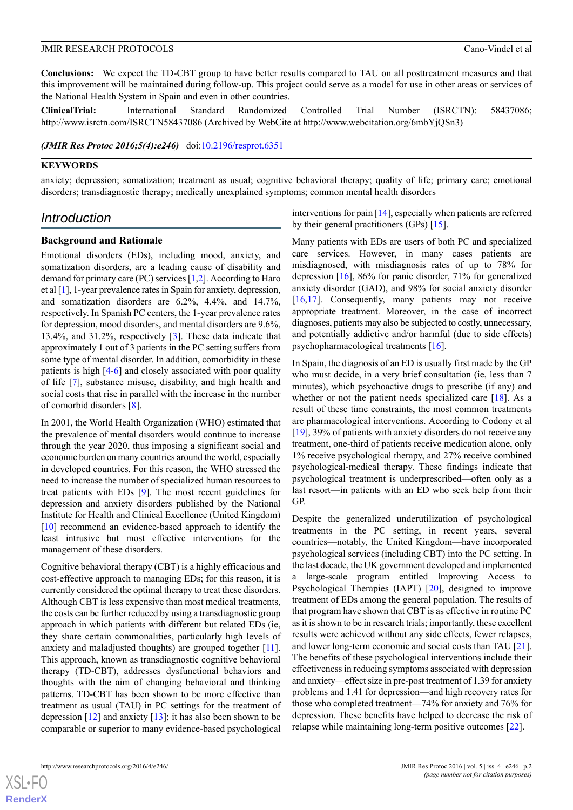**Conclusions:** We expect the TD-CBT group to have better results compared to TAU on all posttreatment measures and that this improvement will be maintained during follow-up. This project could serve as a model for use in other areas or services of the National Health System in Spain and even in other countries.

**ClinicalTrial:** International Standard Randomized Controlled Trial Number (ISRCTN): 58437086; http://www.isrctn.com/ISRCTN58437086 (Archived by WebCite at http://www.webcitation.org/6mbYjQSn3)

*(JMIR Res Protoc 2016;5(4):e246)* doi[:10.2196/resprot.6351](http://dx.doi.org/10.2196/resprot.6351)

#### **KEYWORDS**

anxiety; depression; somatization; treatment as usual; cognitive behavioral therapy; quality of life; primary care; emotional disorders; transdiagnostic therapy; medically unexplained symptoms; common mental health disorders

## *Introduction*

#### **Background and Rationale**

Emotional disorders (EDs), including mood, anxiety, and somatization disorders, are a leading cause of disability and demand for primary care (PC) services [\[1,](#page-11-0)[2\]](#page-11-1). According to Haro et al [[1\]](#page-11-0), 1-year prevalence rates in Spain for anxiety, depression, and somatization disorders are 6.2%, 4.4%, and 14.7%, respectively. In Spanish PC centers, the 1-year prevalence rates for depression, mood disorders, and mental disorders are 9.6%, 13.4%, and 31.2%, respectively [[3](#page-11-2)]. These data indicate that approximately 1 out of 3 patients in the PC setting suffers from some type of mental disorder. In addition, comorbidity in these patients is high [\[4](#page-11-3)[-6](#page-11-4)] and closely associated with poor quality of life [\[7](#page-11-5)], substance misuse, disability, and high health and social costs that rise in parallel with the increase in the number of comorbid disorders [[8\]](#page-11-6).

In 2001, the World Health Organization (WHO) estimated that the prevalence of mental disorders would continue to increase through the year 2020, thus imposing a significant social and economic burden on many countries around the world, especially in developed countries. For this reason, the WHO stressed the need to increase the number of specialized human resources to treat patients with EDs [[9\]](#page-11-7). The most recent guidelines for depression and anxiety disorders published by the National Institute for Health and Clinical Excellence (United Kingdom) [[10\]](#page-11-8) recommend an evidence-based approach to identify the least intrusive but most effective interventions for the management of these disorders.

Cognitive behavioral therapy (CBT) is a highly efficacious and cost-effective approach to managing EDs; for this reason, it is currently considered the optimal therapy to treat these disorders. Although CBT is less expensive than most medical treatments, the costs can be further reduced by using a transdiagnostic group approach in which patients with different but related EDs (ie, they share certain commonalities, particularly high levels of anxiety and maladjusted thoughts) are grouped together [\[11\]](#page-11-9). This approach, known as transdiagnostic cognitive behavioral therapy (TD-CBT), addresses dysfunctional behaviors and thoughts with the aim of changing behavioral and thinking patterns. TD-CBT has been shown to be more effective than treatment as usual (TAU) in PC settings for the treatment of depression  $[12]$  $[12]$  and anxiety  $[13]$  $[13]$ ; it has also been shown to be comparable or superior to many evidence-based psychological

interventions for pain [[14\]](#page-12-2), especially when patients are referred by their general practitioners (GPs) [\[15](#page-12-3)].

Many patients with EDs are users of both PC and specialized care services. However, in many cases patients are misdiagnosed, with misdiagnosis rates of up to 78% for depression [[16\]](#page-12-4), 86% for panic disorder, 71% for generalized anxiety disorder (GAD), and 98% for social anxiety disorder [[16,](#page-12-4)[17\]](#page-12-5). Consequently, many patients may not receive appropriate treatment. Moreover, in the case of incorrect diagnoses, patients may also be subjected to costly, unnecessary, and potentially addictive and/or harmful (due to side effects) psychopharmacological treatments [\[16](#page-12-4)].

In Spain, the diagnosis of an ED is usually first made by the GP who must decide, in a very brief consultation (ie, less than 7 minutes), which psychoactive drugs to prescribe (if any) and whether or not the patient needs specialized care [[18\]](#page-12-6). As a result of these time constraints, the most common treatments are pharmacological interventions. According to Codony et al [[19\]](#page-12-7), 39% of patients with anxiety disorders do not receive any treatment, one-third of patients receive medication alone, only 1% receive psychological therapy, and 27% receive combined psychological-medical therapy. These findings indicate that psychological treatment is underprescribed—often only as a last resort—in patients with an ED who seek help from their GP.

Despite the generalized underutilization of psychological treatments in the PC setting, in recent years, several countries—notably, the United Kingdom—have incorporated psychological services (including CBT) into the PC setting. In the last decade, the UK government developed and implemented a large-scale program entitled Improving Access to Psychological Therapies (IAPT) [[20\]](#page-12-8), designed to improve treatment of EDs among the general population. The results of that program have shown that CBT is as effective in routine PC as it is shown to be in research trials; importantly, these excellent results were achieved without any side effects, fewer relapses, and lower long-term economic and social costs than TAU [[21\]](#page-12-9). The benefits of these psychological interventions include their effectiveness in reducing symptoms associated with depression and anxiety—effect size in pre-post treatment of 1.39 for anxiety problems and 1.41 for depression—and high recovery rates for those who completed treatment—74% for anxiety and 76% for depression. These benefits have helped to decrease the risk of relapse while maintaining long-term positive outcomes [[22\]](#page-12-10).

 $XS$  • FO **[RenderX](http://www.renderx.com/)**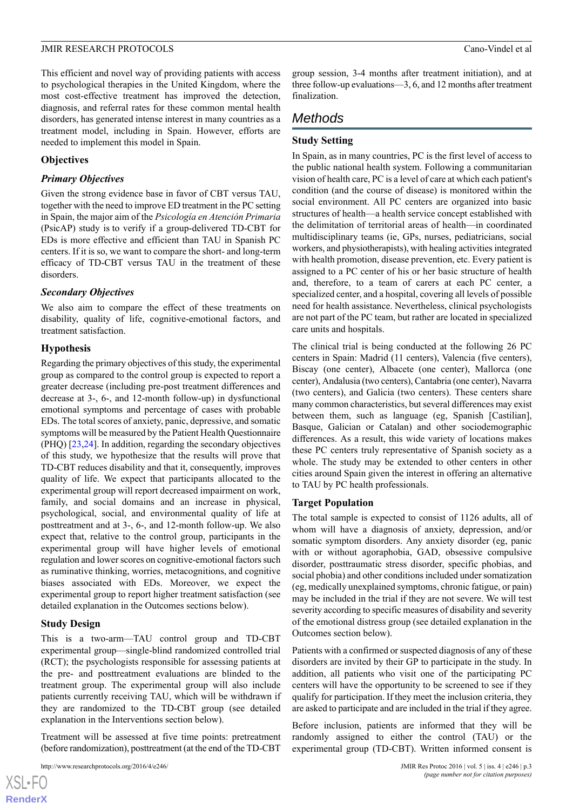This efficient and novel way of providing patients with access to psychological therapies in the United Kingdom, where the most cost-effective treatment has improved the detection, diagnosis, and referral rates for these common mental health disorders, has generated intense interest in many countries as a treatment model, including in Spain. However, efforts are needed to implement this model in Spain.

### **Objectives**

### *Primary Objectives*

Given the strong evidence base in favor of CBT versus TAU, together with the need to improve ED treatment in the PC setting in Spain, the major aim of the *Psicología en Atención Primaria* (PsicAP) study is to verify if a group-delivered TD-CBT for EDs is more effective and efficient than TAU in Spanish PC centers. If it is so, we want to compare the short- and long-term efficacy of TD-CBT versus TAU in the treatment of these disorders.

## *Secondary Objectives*

We also aim to compare the effect of these treatments on disability, quality of life, cognitive-emotional factors, and treatment satisfaction.

## **Hypothesis**

Regarding the primary objectives of this study, the experimental group as compared to the control group is expected to report a greater decrease (including pre-post treatment differences and decrease at 3-, 6-, and 12-month follow-up) in dysfunctional emotional symptoms and percentage of cases with probable EDs. The total scores of anxiety, panic, depressive, and somatic symptoms will be measured by the Patient Health Questionnaire (PHQ) [[23](#page-12-11)[,24](#page-12-12)]. In addition, regarding the secondary objectives of this study, we hypothesize that the results will prove that TD-CBT reduces disability and that it, consequently, improves quality of life. We expect that participants allocated to the experimental group will report decreased impairment on work, family, and social domains and an increase in physical, psychological, social, and environmental quality of life at posttreatment and at 3-, 6-, and 12-month follow-up. We also expect that, relative to the control group, participants in the experimental group will have higher levels of emotional regulation and lower scores on cognitive-emotional factors such as ruminative thinking, worries, metacognitions, and cognitive biases associated with EDs. Moreover, we expect the experimental group to report higher treatment satisfaction (see detailed explanation in the Outcomes sections below).

#### **Study Design**

[XSL](http://www.w3.org/Style/XSL)•FO **[RenderX](http://www.renderx.com/)**

This is a two-arm—TAU control group and TD-CBT experimental group—single-blind randomized controlled trial (RCT); the psychologists responsible for assessing patients at the pre- and posttreatment evaluations are blinded to the treatment group. The experimental group will also include patients currently receiving TAU, which will be withdrawn if they are randomized to the TD-CBT group (see detailed explanation in the Interventions section below).

Treatment will be assessed at five time points: pretreatment (before randomization), posttreatment (at the end of the TD-CBT

```
http://www.researchprotocols.org/2016/4/e246/ JMIR Res Protoc 2016 | vol. 5 | iss. 4 | e246 | p.3
```
group session, 3-4 months after treatment initiation), and at three follow-up evaluations—3, 6, and 12 months after treatment finalization.

## *Methods*

## **Study Setting**

In Spain, as in many countries, PC is the first level of access to the public national health system. Following a communitarian vision of health care, PC is a level of care at which each patient's condition (and the course of disease) is monitored within the social environment. All PC centers are organized into basic structures of health—a health service concept established with the delimitation of territorial areas of health—in coordinated multidisciplinary teams (ie, GPs, nurses, pediatricians, social workers, and physiotherapists), with healing activities integrated with health promotion, disease prevention, etc. Every patient is assigned to a PC center of his or her basic structure of health and, therefore, to a team of carers at each PC center, a specialized center, and a hospital, covering all levels of possible need for health assistance. Nevertheless, clinical psychologists are not part of the PC team, but rather are located in specialized care units and hospitals.

The clinical trial is being conducted at the following 26 PC centers in Spain: Madrid (11 centers), Valencia (five centers), Biscay (one center), Albacete (one center), Mallorca (one center), Andalusia (two centers), Cantabria (one center), Navarra (two centers), and Galicia (two centers). These centers share many common characteristics, but several differences may exist between them, such as language (eg, Spanish [Castilian], Basque, Galician or Catalan) and other sociodemographic differences. As a result, this wide variety of locations makes these PC centers truly representative of Spanish society as a whole. The study may be extended to other centers in other cities around Spain given the interest in offering an alternative to TAU by PC health professionals.

#### **Target Population**

The total sample is expected to consist of 1126 adults, all of whom will have a diagnosis of anxiety, depression, and/or somatic symptom disorders. Any anxiety disorder (eg, panic with or without agoraphobia, GAD, obsessive compulsive disorder, posttraumatic stress disorder, specific phobias, and social phobia) and other conditions included under somatization (eg, medically unexplained symptoms, chronic fatigue, or pain) may be included in the trial if they are not severe. We will test severity according to specific measures of disability and severity of the emotional distress group (see detailed explanation in the Outcomes section below).

Patients with a confirmed or suspected diagnosis of any of these disorders are invited by their GP to participate in the study. In addition, all patients who visit one of the participating PC centers will have the opportunity to be screened to see if they qualify for participation. If they meet the inclusion criteria, they are asked to participate and are included in the trial if they agree.

Before inclusion, patients are informed that they will be randomly assigned to either the control (TAU) or the experimental group (TD-CBT). Written informed consent is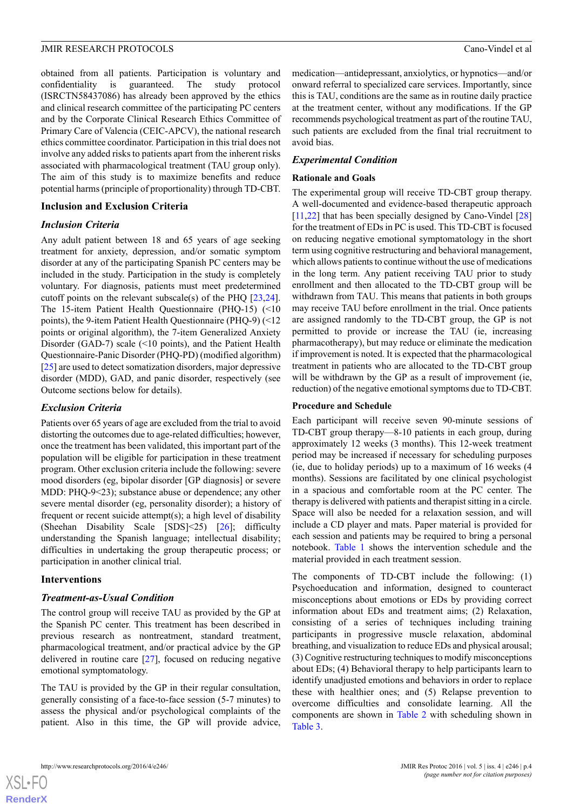obtained from all patients. Participation is voluntary and confidentiality is guaranteed. The study protocol (ISRCTN58437086) has already been approved by the ethics and clinical research committee of the participating PC centers and by the Corporate Clinical Research Ethics Committee of Primary Care of Valencia (CEIC-APCV), the national research ethics committee coordinator. Participation in this trial does not involve any added risks to patients apart from the inherent risks associated with pharmacological treatment (TAU group only). The aim of this study is to maximize benefits and reduce potential harms (principle of proportionality) through TD-CBT.

#### **Inclusion and Exclusion Criteria**

#### *Inclusion Criteria*

Any adult patient between 18 and 65 years of age seeking treatment for anxiety, depression, and/or somatic symptom disorder at any of the participating Spanish PC centers may be included in the study. Participation in the study is completely voluntary. For diagnosis, patients must meet predetermined cutoff points on the relevant subscale(s) of the PHQ [\[23](#page-12-11),[24\]](#page-12-12). The 15-item Patient Health Questionnaire (PHQ-15) (<10 points), the 9-item Patient Health Questionnaire (PHQ-9) (<12 points or original algorithm), the 7-item Generalized Anxiety Disorder (GAD-7) scale (<10 points), and the Patient Health Questionnaire-Panic Disorder (PHQ-PD) (modified algorithm) [[25\]](#page-12-13) are used to detect somatization disorders, major depressive disorder (MDD), GAD, and panic disorder, respectively (see Outcome sections below for details).

#### *Exclusion Criteria*

Patients over 65 years of age are excluded from the trial to avoid distorting the outcomes due to age-related difficulties; however, once the treatment has been validated, this important part of the population will be eligible for participation in these treatment program. Other exclusion criteria include the following: severe mood disorders (eg, bipolar disorder [GP diagnosis] or severe MDD: PHQ-9<23); substance abuse or dependence; any other severe mental disorder (eg, personality disorder); a history of frequent or recent suicide attempt(s); a high level of disability (Sheehan Disability Scale [SDS]<25) [\[26](#page-12-14)]; difficulty understanding the Spanish language; intellectual disability; difficulties in undertaking the group therapeutic process; or participation in another clinical trial.

#### **Interventions**

#### *Treatment-as-Usual Condition*

The control group will receive TAU as provided by the GP at the Spanish PC center. This treatment has been described in previous research as nontreatment, standard treatment, pharmacological treatment, and/or practical advice by the GP delivered in routine care [[27\]](#page-12-15), focused on reducing negative emotional symptomatology.

The TAU is provided by the GP in their regular consultation, generally consisting of a face-to-face session (5-7 minutes) to assess the physical and/or psychological complaints of the patient. Also in this time, the GP will provide advice,

medication—antidepressant, anxiolytics, or hypnotics—and/or onward referral to specialized care services. Importantly, since this is TAU, conditions are the same as in routine daily practice at the treatment center, without any modifications. If the GP recommends psychological treatment as part of the routine TAU, such patients are excluded from the final trial recruitment to avoid bias.

### *Experimental Condition*

#### **Rationale and Goals**

The experimental group will receive TD-CBT group therapy. A well-documented and evidence-based therapeutic approach [[11,](#page-11-9)[22](#page-12-10)] that has been specially designed by Cano-Vindel [\[28](#page-12-16)] for the treatment of EDs in PC is used. This TD-CBT is focused on reducing negative emotional symptomatology in the short term using cognitive restructuring and behavioral management, which allows patients to continue without the use of medications in the long term. Any patient receiving TAU prior to study enrollment and then allocated to the TD-CBT group will be withdrawn from TAU. This means that patients in both groups may receive TAU before enrollment in the trial. Once patients are assigned randomly to the TD-CBT group, the GP is not permitted to provide or increase the TAU (ie, increasing pharmacotherapy), but may reduce or eliminate the medication if improvement is noted. It is expected that the pharmacological treatment in patients who are allocated to the TD-CBT group will be withdrawn by the GP as a result of improvement (ie, reduction) of the negative emotional symptoms due to TD-CBT.

#### **Procedure and Schedule**

Each participant will receive seven 90-minute sessions of TD-CBT group therapy—8-10 patients in each group, during approximately 12 weeks (3 months). This 12-week treatment period may be increased if necessary for scheduling purposes (ie, due to holiday periods) up to a maximum of 16 weeks (4 months). Sessions are facilitated by one clinical psychologist in a spacious and comfortable room at the PC center. The therapy is delivered with patients and therapist sitting in a circle. Space will also be needed for a relaxation session, and will include a CD player and mats. Paper material is provided for each session and patients may be required to bring a personal notebook. [Table 1](#page-4-0) shows the intervention schedule and the material provided in each treatment session.

The components of TD-CBT include the following: (1) Psychoeducation and information, designed to counteract misconceptions about emotions or EDs by providing correct information about EDs and treatment aims; (2) Relaxation, consisting of a series of techniques including training participants in progressive muscle relaxation, abdominal breathing, and visualization to reduce EDs and physical arousal; (3) Cognitive restructuring techniques to modify misconceptions about EDs; (4) Behavioral therapy to help participants learn to identify unadjusted emotions and behaviors in order to replace these with healthier ones; and (5) Relapse prevention to overcome difficulties and consolidate learning. All the components are shown in [Table 2](#page-4-1) with scheduling shown in [Table 3](#page-5-0).

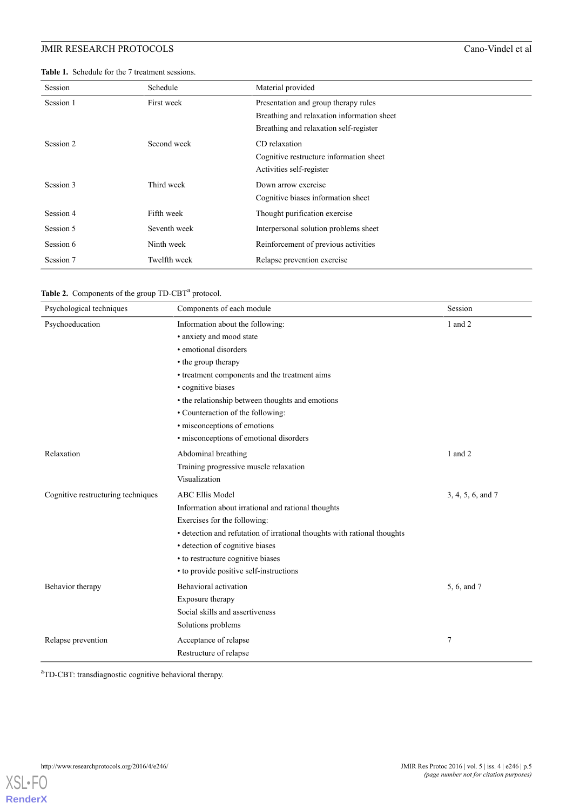<span id="page-4-0"></span>**Table 1.** Schedule for the 7 treatment sessions.

| Session   | Schedule     | Material provided                          |  |  |  |
|-----------|--------------|--------------------------------------------|--|--|--|
| Session 1 | First week   | Presentation and group therapy rules       |  |  |  |
|           |              | Breathing and relaxation information sheet |  |  |  |
|           |              | Breathing and relaxation self-register     |  |  |  |
| Session 2 | Second week  | CD relaxation                              |  |  |  |
|           |              | Cognitive restructure information sheet    |  |  |  |
|           |              | Activities self-register                   |  |  |  |
| Session 3 | Third week   | Down arrow exercise                        |  |  |  |
|           |              | Cognitive biases information sheet         |  |  |  |
| Session 4 | Fifth week   | Thought purification exercise              |  |  |  |
| Session 5 | Seventh week | Interpersonal solution problems sheet      |  |  |  |
| Session 6 | Ninth week   | Reinforcement of previous activities       |  |  |  |
| Session 7 | Twelfth week | Relapse prevention exercise                |  |  |  |

<span id="page-4-1"></span>

| Table 2. Components of the group TD-CBT <sup>a</sup> protocol. |  |
|----------------------------------------------------------------|--|
|----------------------------------------------------------------|--|

| Psychological techniques           | Components of each module                                                | Session           |  |  |  |  |
|------------------------------------|--------------------------------------------------------------------------|-------------------|--|--|--|--|
| Psychoeducation                    | Information about the following:                                         | 1 and 2           |  |  |  |  |
|                                    | · anxiety and mood state                                                 |                   |  |  |  |  |
|                                    | • emotional disorders                                                    |                   |  |  |  |  |
|                                    | • the group therapy                                                      |                   |  |  |  |  |
|                                    | • treatment components and the treatment aims                            |                   |  |  |  |  |
|                                    | · cognitive biases                                                       |                   |  |  |  |  |
|                                    | • the relationship between thoughts and emotions                         |                   |  |  |  |  |
|                                    | • Counteraction of the following:<br>· misconceptions of emotions        |                   |  |  |  |  |
|                                    |                                                                          |                   |  |  |  |  |
|                                    | · misconceptions of emotional disorders                                  |                   |  |  |  |  |
| Relaxation                         | Abdominal breathing                                                      | 1 and 2           |  |  |  |  |
|                                    | Training progressive muscle relaxation                                   |                   |  |  |  |  |
|                                    | Visualization                                                            |                   |  |  |  |  |
| Cognitive restructuring techniques | <b>ABC Ellis Model</b>                                                   | 3, 4, 5, 6, and 7 |  |  |  |  |
|                                    | Information about irrational and rational thoughts                       |                   |  |  |  |  |
|                                    | Exercises for the following:                                             |                   |  |  |  |  |
|                                    | · detection and refutation of irrational thoughts with rational thoughts |                   |  |  |  |  |
|                                    | · detection of cognitive biases                                          |                   |  |  |  |  |
|                                    | • to restructure cognitive biases                                        |                   |  |  |  |  |
|                                    | • to provide positive self-instructions                                  |                   |  |  |  |  |
| Behavior therapy                   | Behavioral activation                                                    | 5, 6, and 7       |  |  |  |  |
|                                    | Exposure therapy                                                         |                   |  |  |  |  |
|                                    | Social skills and assertiveness                                          |                   |  |  |  |  |
|                                    | Solutions problems                                                       |                   |  |  |  |  |
| Relapse prevention                 | Acceptance of relapse                                                    | 7                 |  |  |  |  |
|                                    | Restructure of relapse                                                   |                   |  |  |  |  |

<sup>a</sup>TD-CBT: transdiagnostic cognitive behavioral therapy.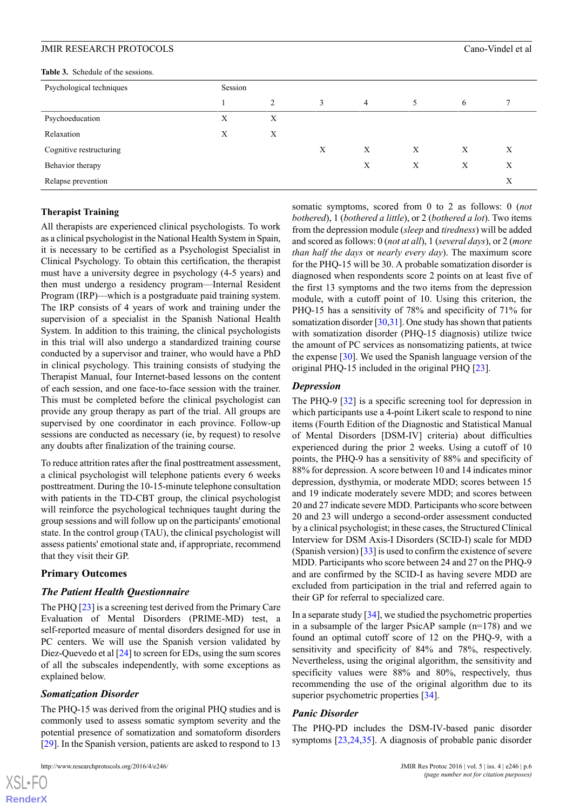<span id="page-5-0"></span>**Table 3.** Schedule of the sessions.

| <b>Table 3.</b> Schedule of the sessions. |         |   |   |                |   |   |   |  |  |  |
|-------------------------------------------|---------|---|---|----------------|---|---|---|--|--|--|
| Psychological techniques                  | Session |   |   |                |   |   |   |  |  |  |
|                                           |         | 2 | 3 | $\overline{4}$ | 5 | 6 |   |  |  |  |
| Psychoeducation                           | Х       | X |   |                |   |   |   |  |  |  |
| Relaxation                                | X       | X |   |                |   |   |   |  |  |  |
| Cognitive restructuring                   |         |   | X | X              | X | X | X |  |  |  |
| Behavior therapy                          |         |   |   | X              | X | X | X |  |  |  |
| Relapse prevention                        |         |   |   |                |   |   | X |  |  |  |

#### **Therapist Training**

All therapists are experienced clinical psychologists. To work as a clinical psychologist in the National Health System in Spain, it is necessary to be certified as a Psychologist Specialist in Clinical Psychology. To obtain this certification, the therapist must have a university degree in psychology (4-5 years) and then must undergo a residency program—Internal Resident Program (IRP)—which is a postgraduate paid training system. The IRP consists of 4 years of work and training under the supervision of a specialist in the Spanish National Health System. In addition to this training, the clinical psychologists in this trial will also undergo a standardized training course conducted by a supervisor and trainer, who would have a PhD in clinical psychology. This training consists of studying the Therapist Manual, four Internet-based lessons on the content of each session, and one face-to-face session with the trainer. This must be completed before the clinical psychologist can provide any group therapy as part of the trial. All groups are supervised by one coordinator in each province. Follow-up sessions are conducted as necessary (ie, by request) to resolve any doubts after finalization of the training course.

To reduce attrition rates after the final posttreatment assessment, a clinical psychologist will telephone patients every 6 weeks posttreatment. During the 10-15-minute telephone consultation with patients in the TD-CBT group, the clinical psychologist will reinforce the psychological techniques taught during the group sessions and will follow up on the participants' emotional state. In the control group (TAU), the clinical psychologist will assess patients' emotional state and, if appropriate, recommend that they visit their GP.

#### **Primary Outcomes**

#### *The Patient Health Questionnaire*

The PHQ [\[23](#page-12-11)] is a screening test derived from the Primary Care Evaluation of Mental Disorders (PRIME-MD) test, a self-reported measure of mental disorders designed for use in PC centers. We will use the Spanish version validated by Diez-Quevedo et al [[24\]](#page-12-12) to screen for EDs, using the sum scores of all the subscales independently, with some exceptions as explained below.

#### *Somatization Disorder*

[XSL](http://www.w3.org/Style/XSL)•FO **[RenderX](http://www.renderx.com/)**

The PHQ-15 was derived from the original PHQ studies and is commonly used to assess somatic symptom severity and the potential presence of somatization and somatoform disorders [[29\]](#page-12-17). In the Spanish version, patients are asked to respond to 13

```
http://www.researchprotocols.org/2016/4/e246/ JMIR Res Protoc 2016 | vol. 5 | iss. 4 | e246 | p.6
```
somatic symptoms, scored from 0 to 2 as follows: 0 (*not bothered*), 1 (*bothered a little*), or 2 (*bothered a lot*). Two items from the depression module (*sleep* and *tiredness*) will be added and scored as follows: 0 (*not at all*), 1 (*several days*), or 2 (*more than half the days* or *nearly every day*). The maximum score for the PHQ-15 will be 30. A probable somatization disorder is diagnosed when respondents score 2 points on at least five of the first 13 symptoms and the two items from the depression module, with a cutoff point of 10. Using this criterion, the PHQ-15 has a sensitivity of 78% and specificity of 71% for somatization disorder [\[30](#page-12-18),[31](#page-12-19)]. One study has shown that patients with somatization disorder (PHQ-15 diagnosis) utilize twice the amount of PC services as nonsomatizing patients, at twice the expense  $[30]$  $[30]$ . We used the Spanish language version of the original PHQ-15 included in the original PHQ [\[23](#page-12-11)].

#### *Depression*

The PHQ-9 [[32\]](#page-12-20) is a specific screening tool for depression in which participants use a 4-point Likert scale to respond to nine items (Fourth Edition of the Diagnostic and Statistical Manual of Mental Disorders [DSM-IV] criteria) about difficulties experienced during the prior 2 weeks. Using a cutoff of 10 points, the PHQ-9 has a sensitivity of 88% and specificity of 88% for depression. A score between 10 and 14 indicates minor depression, dysthymia, or moderate MDD; scores between 15 and 19 indicate moderately severe MDD; and scores between 20 and 27 indicate severe MDD. Participants who score between 20 and 23 will undergo a second-order assessment conducted by a clinical psychologist; in these cases, the Structured Clinical Interview for DSM Axis-I Disorders (SCID-I) scale for MDD (Spanish version) [[33\]](#page-12-21) is used to confirm the existence of severe MDD. Participants who score between 24 and 27 on the PHQ-9 and are confirmed by the SCID-I as having severe MDD are excluded from participation in the trial and referred again to their GP for referral to specialized care.

In a separate study [[34\]](#page-12-22), we studied the psychometric properties in a subsample of the larger PsicAP sample (n=178) and we found an optimal cutoff score of 12 on the PHQ-9, with a sensitivity and specificity of 84% and 78%, respectively. Nevertheless, using the original algorithm, the sensitivity and specificity values were 88% and 80%, respectively, thus recommending the use of the original algorithm due to its superior psychometric properties [[34\]](#page-12-22).

#### *Panic Disorder*

The PHQ-PD includes the DSM-IV-based panic disorder symptoms [\[23](#page-12-11),[24,](#page-12-12)[35](#page-13-0)]. A diagnosis of probable panic disorder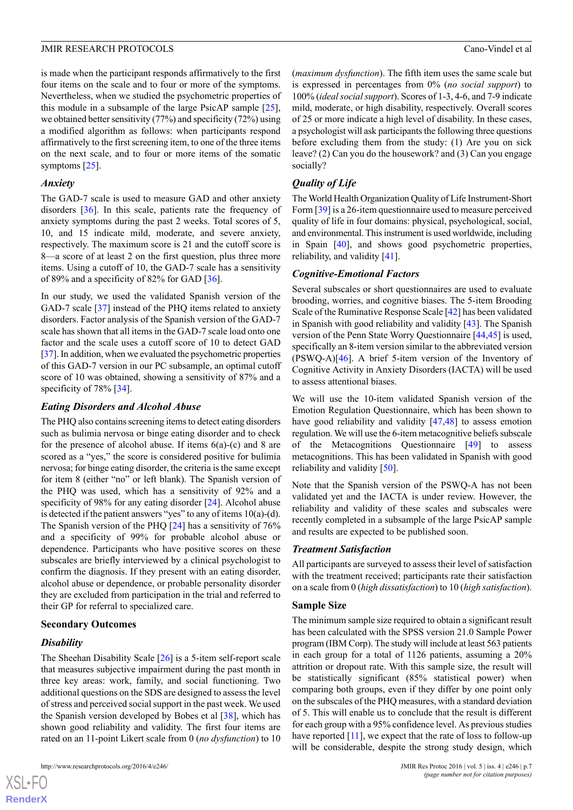is made when the participant responds affirmatively to the first four items on the scale and to four or more of the symptoms. Nevertheless, when we studied the psychometric properties of this module in a subsample of the large PsicAP sample [[25\]](#page-12-13), we obtained better sensitivity (77%) and specificity (72%) using a modified algorithm as follows: when participants respond affirmatively to the first screening item, to one of the three items on the next scale, and to four or more items of the somatic symptoms [\[25](#page-12-13)].

#### *Anxiety*

The GAD-7 scale is used to measure GAD and other anxiety disorders [\[36](#page-13-1)]. In this scale, patients rate the frequency of anxiety symptoms during the past 2 weeks. Total scores of 5, 10, and 15 indicate mild, moderate, and severe anxiety, respectively. The maximum score is 21 and the cutoff score is 8—a score of at least 2 on the first question, plus three more items. Using a cutoff of 10, the GAD-7 scale has a sensitivity of 89% and a specificity of 82% for GAD [\[36](#page-13-1)].

In our study, we used the validated Spanish version of the GAD-7 scale [\[37](#page-13-2)] instead of the PHQ items related to anxiety disorders. Factor analysis of the Spanish version of the GAD-7 scale has shown that all items in the GAD-7 scale load onto one factor and the scale uses a cutoff score of 10 to detect GAD [[37\]](#page-13-2). In addition, when we evaluated the psychometric properties of this GAD-7 version in our PC subsample, an optimal cutoff score of 10 was obtained, showing a sensitivity of 87% and a specificity of 78% [[34\]](#page-12-22).

#### *Eating Disorders and Alcohol Abuse*

The PHQ also contains screening items to detect eating disorders such as bulimia nervosa or binge eating disorder and to check for the presence of alcohol abuse. If items  $6(a)-(c)$  and 8 are scored as a "yes," the score is considered positive for bulimia nervosa; for binge eating disorder, the criteria is the same except for item 8 (either "no" or left blank). The Spanish version of the PHQ was used, which has a sensitivity of 92% and a specificity of 98% for any eating disorder [[24\]](#page-12-12). Alcohol abuse is detected if the patient answers "yes" to any of items 10(a)-(d). The Spanish version of the PHQ [\[24](#page-12-12)] has a sensitivity of 76% and a specificity of 99% for probable alcohol abuse or dependence. Participants who have positive scores on these subscales are briefly interviewed by a clinical psychologist to confirm the diagnosis. If they present with an eating disorder, alcohol abuse or dependence, or probable personality disorder they are excluded from participation in the trial and referred to their GP for referral to specialized care.

#### **Secondary Outcomes**

## *Disability*

 $XS$ -FO **[RenderX](http://www.renderx.com/)**

The Sheehan Disability Scale [[26\]](#page-12-14) is a 5-item self-report scale that measures subjective impairment during the past month in three key areas: work, family, and social functioning. Two additional questions on the SDS are designed to assess the level of stress and perceived social support in the past week. We used the Spanish version developed by Bobes et al [\[38](#page-13-3)], which has shown good reliability and validity. The first four items are rated on an 11-point Likert scale from 0 (*no dysfunction*) to 10

(*maximum dysfunction*). The fifth item uses the same scale but is expressed in percentages from 0% (*no social support*) to 100% (*ideal social support*). Scores of 1-3, 4-6, and 7-9 indicate mild, moderate, or high disability, respectively. Overall scores of 25 or more indicate a high level of disability. In these cases, a psychologist will ask participants the following three questions before excluding them from the study: (1) Are you on sick leave? (2) Can you do the housework? and (3) Can you engage socially?

## *Quality of Life*

The World Health Organization Quality of Life Instrument-Short Form [\[39](#page-13-4)] is a 26-item questionnaire used to measure perceived quality of life in four domains: physical, psychological, social, and environmental. This instrument is used worldwide, including in Spain [[40\]](#page-13-5), and shows good psychometric properties, reliability, and validity [\[41](#page-13-6)].

## *Cognitive-Emotional Factors*

Several subscales or short questionnaires are used to evaluate brooding, worries, and cognitive biases. The 5-item Brooding Scale of the Ruminative Response Scale [[42\]](#page-13-7) has been validated in Spanish with good reliability and validity [[43\]](#page-13-8). The Spanish version of the Penn State Worry Questionnaire [[44,](#page-13-9)[45](#page-13-10)] is used, specifically an 8-item version similar to the abbreviated version (PSWQ-A)[[46\]](#page-13-11). A brief 5-item version of the Inventory of Cognitive Activity in Anxiety Disorders (IACTA) will be used to assess attentional biases.

We will use the 10-item validated Spanish version of the Emotion Regulation Questionnaire, which has been shown to have good reliability and validity [[47](#page-13-12)[,48](#page-13-13)] to assess emotion regulation. We will use the 6-item metacognitive beliefs subscale of the Metacognitions Questionnaire [[49\]](#page-13-14) to assess metacognitions. This has been validated in Spanish with good reliability and validity [\[50](#page-13-15)].

Note that the Spanish version of the PSWQ-A has not been validated yet and the IACTA is under review. However, the reliability and validity of these scales and subscales were recently completed in a subsample of the large PsicAP sample and results are expected to be published soon.

#### *Treatment Satisfaction*

All participants are surveyed to assess their level of satisfaction with the treatment received; participants rate their satisfaction on a scale from 0 (*high dissatisfaction*) to 10 (*high satisfaction*).

#### **Sample Size**

The minimum sample size required to obtain a significant result has been calculated with the SPSS version 21.0 Sample Power program (IBM Corp). The study will include at least 563 patients in each group for a total of 1126 patients, assuming a 20% attrition or dropout rate. With this sample size, the result will be statistically significant (85% statistical power) when comparing both groups, even if they differ by one point only on the subscales of the PHQ measures, with a standard deviation of 5. This will enable us to conclude that the result is different for each group with a 95% confidence level. As previous studies have reported [\[11\]](#page-11-9), we expect that the rate of loss to follow-up will be considerable, despite the strong study design, which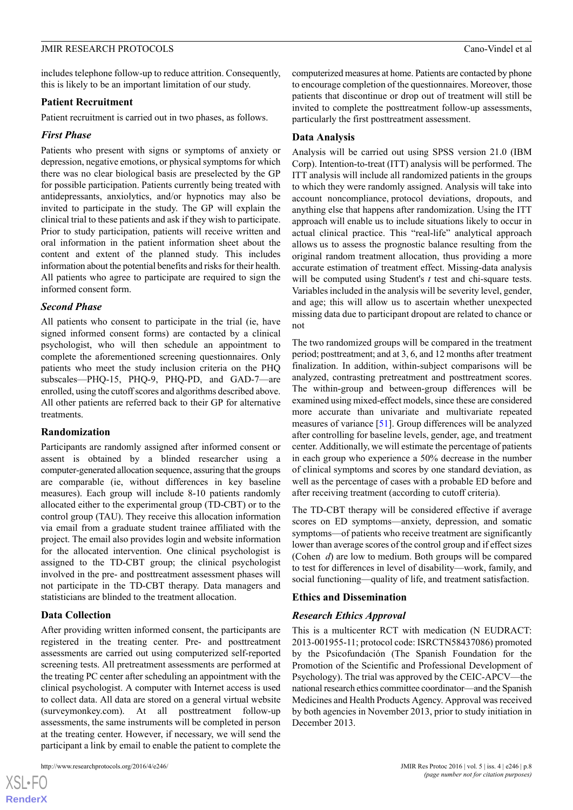includes telephone follow-up to reduce attrition. Consequently, this is likely to be an important limitation of our study.

#### **Patient Recruitment**

Patient recruitment is carried out in two phases, as follows.

#### *First Phase*

Patients who present with signs or symptoms of anxiety or depression, negative emotions, or physical symptoms for which there was no clear biological basis are preselected by the GP for possible participation. Patients currently being treated with antidepressants, anxiolytics, and/or hypnotics may also be invited to participate in the study. The GP will explain the clinical trial to these patients and ask if they wish to participate. Prior to study participation, patients will receive written and oral information in the patient information sheet about the content and extent of the planned study. This includes information about the potential benefits and risks for their health. All patients who agree to participate are required to sign the informed consent form.

#### *Second Phase*

All patients who consent to participate in the trial (ie, have signed informed consent forms) are contacted by a clinical psychologist, who will then schedule an appointment to complete the aforementioned screening questionnaires. Only patients who meet the study inclusion criteria on the PHQ subscales—PHQ-15, PHQ-9, PHQ-PD, and GAD-7—are enrolled, using the cutoff scores and algorithms described above. All other patients are referred back to their GP for alternative treatments.

#### **Randomization**

Participants are randomly assigned after informed consent or assent is obtained by a blinded researcher using a computer-generated allocation sequence, assuring that the groups are comparable (ie, without differences in key baseline measures). Each group will include 8-10 patients randomly allocated either to the experimental group (TD-CBT) or to the control group (TAU). They receive this allocation information via email from a graduate student trainee affiliated with the project. The email also provides login and website information for the allocated intervention. One clinical psychologist is assigned to the TD-CBT group; the clinical psychologist involved in the pre- and posttreatment assessment phases will not participate in the TD-CBT therapy. Data managers and statisticians are blinded to the treatment allocation.

#### **Data Collection**

 $XS$ -FO **[RenderX](http://www.renderx.com/)**

After providing written informed consent, the participants are registered in the treating center. Pre- and posttreatment assessments are carried out using computerized self-reported screening tests. All pretreatment assessments are performed at the treating PC center after scheduling an appointment with the clinical psychologist. A computer with Internet access is used to collect data. All data are stored on a general virtual website (surveymonkey.com). At all posttreatment follow-up assessments, the same instruments will be completed in person at the treating center. However, if necessary, we will send the participant a link by email to enable the patient to complete the

computerized measures at home. Patients are contacted by phone to encourage completion of the questionnaires. Moreover, those patients that discontinue or drop out of treatment will still be invited to complete the posttreatment follow-up assessments, particularly the first posttreatment assessment.

#### **Data Analysis**

Analysis will be carried out using SPSS version 21.0 (IBM Corp). Intention-to-treat (ITT) analysis will be performed. The ITT analysis will include all randomized patients in the groups to which they were randomly assigned. Analysis will take into account noncompliance, protocol deviations, dropouts, and anything else that happens after randomization. Using the ITT approach will enable us to include situations likely to occur in actual clinical practice. This "real-life" analytical approach allows us to assess the prognostic balance resulting from the original random treatment allocation, thus providing a more accurate estimation of treatment effect. Missing-data analysis will be computed using Student's *t* test and chi-square tests. Variables included in the analysis will be severity level, gender, and age; this will allow us to ascertain whether unexpected missing data due to participant dropout are related to chance or not

The two randomized groups will be compared in the treatment period; posttreatment; and at 3, 6, and 12 months after treatment finalization. In addition, within-subject comparisons will be analyzed, contrasting pretreatment and posttreatment scores. The within-group and between-group differences will be examined using mixed-effect models, since these are considered more accurate than univariate and multivariate repeated measures of variance [[51\]](#page-13-16). Group differences will be analyzed after controlling for baseline levels, gender, age, and treatment center. Additionally, we will estimate the percentage of patients in each group who experience a 50% decrease in the number of clinical symptoms and scores by one standard deviation, as well as the percentage of cases with a probable ED before and after receiving treatment (according to cutoff criteria).

The TD-CBT therapy will be considered effective if average scores on ED symptoms—anxiety, depression, and somatic symptoms—of patients who receive treatment are significantly lower than average scores of the control group and if effect sizes (Cohen *d*) are low to medium. Both groups will be compared to test for differences in level of disability—work, family, and social functioning—quality of life, and treatment satisfaction.

#### **Ethics and Dissemination**

#### *Research Ethics Approval*

This is a multicenter RCT with medication (N EUDRACT: 2013-001955-11; protocol code: ISRCTN58437086) promoted by the Psicofundación (The Spanish Foundation for the Promotion of the Scientific and Professional Development of Psychology). The trial was approved by the CEIC-APCV—the national research ethics committee coordinator—and the Spanish Medicines and Health Products Agency. Approval was received by both agencies in November 2013, prior to study initiation in December 2013.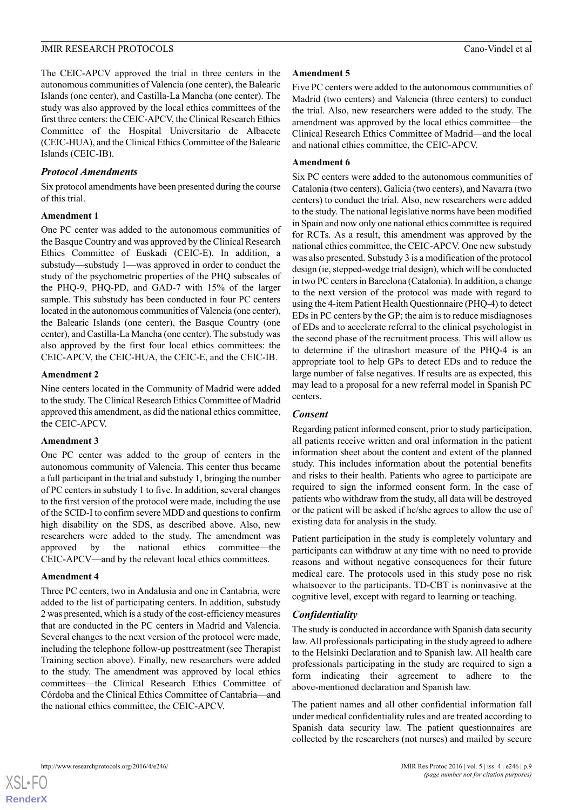The CEIC-APCV approved the trial in three centers in the autonomous communities of Valencia (one center), the Balearic Islands (one center), and Castilla-La Mancha (one center). The study was also approved by the local ethics committees of the first three centers: the CEIC-APCV, the Clinical Research Ethics Committee of the Hospital Universitario de Albacete (CEIC-HUA), and the Clinical Ethics Committee of the Balearic Islands (CEIC-IB).

#### *Protocol Amendments*

Six protocol amendments have been presented during the course of this trial.

#### **Amendment 1**

One PC center was added to the autonomous communities of the Basque Country and was approved by the Clinical Research Ethics Committee of Euskadi (CEIC-E). In addition, a substudy—substudy 1—was approved in order to conduct the study of the psychometric properties of the PHQ subscales of the PHQ-9, PHQ-PD, and GAD-7 with 15% of the larger sample. This substudy has been conducted in four PC centers located in the autonomous communities of Valencia (one center), the Balearic Islands (one center), the Basque Country (one center), and Castilla-La Mancha (one center). The substudy was also approved by the first four local ethics committees: the CEIC-APCV, the CEIC-HUA, the CEIC-E, and the CEIC-IB.

#### **Amendment 2**

Nine centers located in the Community of Madrid were added to the study. The Clinical Research Ethics Committee of Madrid approved this amendment, as did the national ethics committee, the CEIC-APCV.

#### **Amendment 3**

One PC center was added to the group of centers in the autonomous community of Valencia. This center thus became a full participant in the trial and substudy 1, bringing the number of PC centers in substudy 1 to five. In addition, several changes to the first version of the protocol were made, including the use of the SCID-I to confirm severe MDD and questions to confirm high disability on the SDS, as described above. Also, new researchers were added to the study. The amendment was approved by the national ethics committee—the CEIC-APCV—and by the relevant local ethics committees.

#### **Amendment 4**

Three PC centers, two in Andalusia and one in Cantabria, were added to the list of participating centers. In addition, substudy 2 was presented, which is a study of the cost-efficiency measures that are conducted in the PC centers in Madrid and Valencia. Several changes to the next version of the protocol were made, including the telephone follow-up posttreatment (see Therapist Training section above). Finally, new researchers were added to the study. The amendment was approved by local ethics committees—the Clinical Research Ethics Committee of Córdoba and the Clinical Ethics Committee of Cantabria—and the national ethics committee, the CEIC-APCV.

#### **Amendment 5**

Five PC centers were added to the autonomous communities of Madrid (two centers) and Valencia (three centers) to conduct the trial. Also, new researchers were added to the study. The amendment was approved by the local ethics committee—the Clinical Research Ethics Committee of Madrid—and the local and national ethics committee, the CEIC-APCV.

#### **Amendment 6**

Six PC centers were added to the autonomous communities of Catalonia (two centers), Galicia (two centers), and Navarra (two centers) to conduct the trial. Also, new researchers were added to the study. The national legislative norms have been modified in Spain and now only one national ethics committee is required for RCTs. As a result, this amendment was approved by the national ethics committee, the CEIC-APCV. One new substudy was also presented. Substudy 3 is a modification of the protocol design (ie, stepped-wedge trial design), which will be conducted in two PC centers in Barcelona (Catalonia). In addition, a change to the next version of the protocol was made with regard to using the 4-item Patient Health Questionnaire (PHQ-4) to detect EDs in PC centers by the GP; the aim is to reduce misdiagnoses of EDs and to accelerate referral to the clinical psychologist in the second phase of the recruitment process. This will allow us to determine if the ultrashort measure of the PHQ-4 is an appropriate tool to help GPs to detect EDs and to reduce the large number of false negatives. If results are as expected, this may lead to a proposal for a new referral model in Spanish PC centers.

#### *Consent*

Regarding patient informed consent, prior to study participation, all patients receive written and oral information in the patient information sheet about the content and extent of the planned study. This includes information about the potential benefits and risks to their health. Patients who agree to participate are required to sign the informed consent form. In the case of patients who withdraw from the study, all data will be destroyed or the patient will be asked if he/she agrees to allow the use of existing data for analysis in the study.

Patient participation in the study is completely voluntary and participants can withdraw at any time with no need to provide reasons and without negative consequences for their future medical care. The protocols used in this study pose no risk whatsoever to the participants. TD-CBT is noninvasive at the cognitive level, except with regard to learning or teaching.

#### *Confidentiality*

The study is conducted in accordance with Spanish data security law. All professionals participating in the study agreed to adhere to the Helsinki Declaration and to Spanish law. All health care professionals participating in the study are required to sign a form indicating their agreement to adhere to the above-mentioned declaration and Spanish law.

The patient names and all other confidential information fall under medical confidentiality rules and are treated according to Spanish data security law. The patient questionnaires are collected by the researchers (not nurses) and mailed by secure

 $XS$  • FC **[RenderX](http://www.renderx.com/)**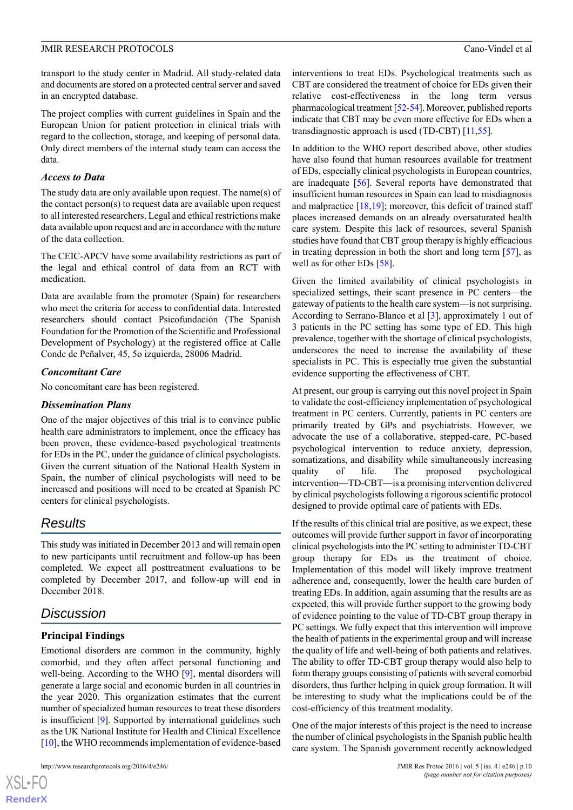transport to the study center in Madrid. All study-related data and documents are stored on a protected central server and saved in an encrypted database.

The project complies with current guidelines in Spain and the European Union for patient protection in clinical trials with regard to the collection, storage, and keeping of personal data. Only direct members of the internal study team can access the data.

#### *Access to Data*

The study data are only available upon request. The name(s) of the contact person(s) to request data are available upon request to all interested researchers. Legal and ethical restrictions make data available upon request and are in accordance with the nature of the data collection.

The CEIC-APCV have some availability restrictions as part of the legal and ethical control of data from an RCT with medication.

Data are available from the promoter (Spain) for researchers who meet the criteria for access to confidential data. Interested researchers should contact Psicofundación (The Spanish Foundation for the Promotion of the Scientific and Professional Development of Psychology) at the registered office at Calle Conde de Peñalver, 45, 5o izquierda, 28006 Madrid.

#### *Concomitant Care*

No concomitant care has been registered.

#### *Dissemination Plans*

One of the major objectives of this trial is to convince public health care administrators to implement, once the efficacy has been proven, these evidence-based psychological treatments for EDs in the PC, under the guidance of clinical psychologists. Given the current situation of the National Health System in Spain, the number of clinical psychologists will need to be increased and positions will need to be created at Spanish PC centers for clinical psychologists.

## *Results*

This study was initiated in December 2013 and will remain open to new participants until recruitment and follow-up has been completed. We expect all posttreatment evaluations to be completed by December 2017, and follow-up will end in December 2018.

## *Discussion*

## **Principal Findings**

Emotional disorders are common in the community, highly comorbid, and they often affect personal functioning and well-being. According to the WHO [\[9](#page-11-7)], mental disorders will generate a large social and economic burden in all countries in the year 2020. This organization estimates that the current number of specialized human resources to treat these disorders is insufficient [\[9](#page-11-7)]. Supported by international guidelines such as the UK National Institute for Health and Clinical Excellence [[10\]](#page-11-8), the WHO recommends implementation of evidence-based

[XSL](http://www.w3.org/Style/XSL)•FO **[RenderX](http://www.renderx.com/)**

interventions to treat EDs. Psychological treatments such as CBT are considered the treatment of choice for EDs given their relative cost-effectiveness in the long term versus pharmacological treatment [[52](#page-13-17)-[54\]](#page-13-18). Moreover, published reports indicate that CBT may be even more effective for EDs when a transdiagnostic approach is used (TD-CBT) [\[11](#page-11-9)[,55](#page-13-19)].

In addition to the WHO report described above, other studies have also found that human resources available for treatment of EDs, especially clinical psychologists in European countries, are inadequate [[56\]](#page-13-20). Several reports have demonstrated that insufficient human resources in Spain can lead to misdiagnosis and malpractice [[18,](#page-12-6)[19](#page-12-7)]; moreover, this deficit of trained staff places increased demands on an already oversaturated health care system. Despite this lack of resources, several Spanish studies have found that CBT group therapy is highly efficacious in treating depression in both the short and long term  $[57]$  $[57]$ , as well as for other EDs [\[58](#page-14-0)].

Given the limited availability of clinical psychologists in specialized settings, their scant presence in PC centers—the gateway of patients to the health care system—is not surprising. According to Serrano-Blanco et al [\[3](#page-11-2)], approximately 1 out of 3 patients in the PC setting has some type of ED. This high prevalence, together with the shortage of clinical psychologists, underscores the need to increase the availability of these specialists in PC. This is especially true given the substantial evidence supporting the effectiveness of CBT.

At present, our group is carrying out this novel project in Spain to validate the cost-efficiency implementation of psychological treatment in PC centers. Currently, patients in PC centers are primarily treated by GPs and psychiatrists. However, we advocate the use of a collaborative, stepped-care, PC-based psychological intervention to reduce anxiety, depression, somatizations, and disability while simultaneously increasing quality of life. The proposed psychological intervention—TD-CBT—is a promising intervention delivered by clinical psychologists following a rigorous scientific protocol designed to provide optimal care of patients with EDs.

If the results of this clinical trial are positive, as we expect, these outcomes will provide further support in favor of incorporating clinical psychologists into the PC setting to administer TD-CBT group therapy for EDs as the treatment of choice. Implementation of this model will likely improve treatment adherence and, consequently, lower the health care burden of treating EDs. In addition, again assuming that the results are as expected, this will provide further support to the growing body of evidence pointing to the value of TD-CBT group therapy in PC settings. We fully expect that this intervention will improve the health of patients in the experimental group and will increase the quality of life and well-being of both patients and relatives. The ability to offer TD-CBT group therapy would also help to form therapy groups consisting of patients with several comorbid disorders, thus further helping in quick group formation. It will be interesting to study what the implications could be of the cost-efficiency of this treatment modality.

One of the major interests of this project is the need to increase the number of clinical psychologists in the Spanish public health care system. The Spanish government recently acknowledged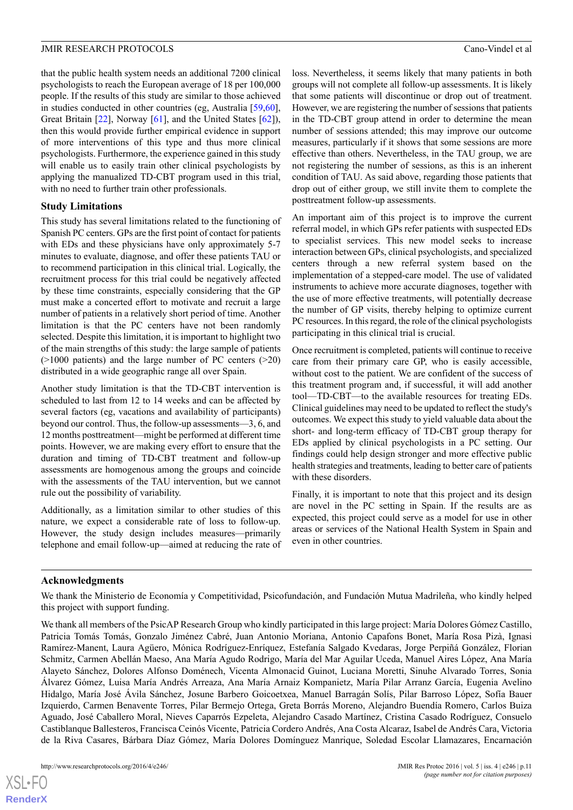that the public health system needs an additional 7200 clinical psychologists to reach the European average of 18 per 100,000 people. If the results of this study are similar to those achieved in studies conducted in other countries (eg, Australia [\[59](#page-14-1),[60\]](#page-14-2), Great Britain [\[22](#page-12-10)], Norway [[61\]](#page-14-3), and the United States [\[62](#page-14-4)]), then this would provide further empirical evidence in support of more interventions of this type and thus more clinical psychologists. Furthermore, the experience gained in this study will enable us to easily train other clinical psychologists by applying the manualized TD-CBT program used in this trial, with no need to further train other professionals.

#### **Study Limitations**

This study has several limitations related to the functioning of Spanish PC centers. GPs are the first point of contact for patients with EDs and these physicians have only approximately 5-7 minutes to evaluate, diagnose, and offer these patients TAU or to recommend participation in this clinical trial. Logically, the recruitment process for this trial could be negatively affected by these time constraints, especially considering that the GP must make a concerted effort to motivate and recruit a large number of patients in a relatively short period of time. Another limitation is that the PC centers have not been randomly selected. Despite this limitation, it is important to highlight two of the main strengths of this study: the large sample of patients  $(>1000$  patients) and the large number of PC centers  $(>20)$ distributed in a wide geographic range all over Spain.

Another study limitation is that the TD-CBT intervention is scheduled to last from 12 to 14 weeks and can be affected by several factors (eg, vacations and availability of participants) beyond our control. Thus, the follow-up assessments—3, 6, and 12 months posttreatment—might be performed at different time points. However, we are making every effort to ensure that the duration and timing of TD-CBT treatment and follow-up assessments are homogenous among the groups and coincide with the assessments of the TAU intervention, but we cannot rule out the possibility of variability.

Additionally, as a limitation similar to other studies of this nature, we expect a considerable rate of loss to follow-up. However, the study design includes measures—primarily telephone and email follow-up—aimed at reducing the rate of loss. Nevertheless, it seems likely that many patients in both groups will not complete all follow-up assessments. It is likely that some patients will discontinue or drop out of treatment. However, we are registering the number of sessions that patients in the TD-CBT group attend in order to determine the mean number of sessions attended; this may improve our outcome measures, particularly if it shows that some sessions are more effective than others. Nevertheless, in the TAU group, we are not registering the number of sessions, as this is an inherent condition of TAU. As said above, regarding those patients that drop out of either group, we still invite them to complete the posttreatment follow-up assessments.

An important aim of this project is to improve the current referral model, in which GPs refer patients with suspected EDs to specialist services. This new model seeks to increase interaction between GPs, clinical psychologists, and specialized centers through a new referral system based on the implementation of a stepped-care model. The use of validated instruments to achieve more accurate diagnoses, together with the use of more effective treatments, will potentially decrease the number of GP visits, thereby helping to optimize current PC resources. In this regard, the role of the clinical psychologists participating in this clinical trial is crucial.

Once recruitment is completed, patients will continue to receive care from their primary care GP, who is easily accessible, without cost to the patient. We are confident of the success of this treatment program and, if successful, it will add another tool—TD-CBT—to the available resources for treating EDs. Clinical guidelines may need to be updated to reflect the study's outcomes. We expect this study to yield valuable data about the short- and long-term efficacy of TD-CBT group therapy for EDs applied by clinical psychologists in a PC setting. Our findings could help design stronger and more effective public health strategies and treatments, leading to better care of patients with these disorders.

Finally, it is important to note that this project and its design are novel in the PC setting in Spain. If the results are as expected, this project could serve as a model for use in other areas or services of the National Health System in Spain and even in other countries.

#### **Acknowledgments**

We thank the Ministerio de Economía y Competitividad, Psicofundación, and Fundación Mutua Madrileña, who kindly helped this project with support funding.

We thank all members of the PsicAP Research Group who kindly participated in this large project: María Dolores Gómez Castillo, Patricia Tomás Tomás, Gonzalo Jiménez Cabré, Juan Antonio Moriana, Antonio Capafons Bonet, María Rosa Pizà, Ignasi Ramírez-Manent, Laura Agüero, Mónica Rodríguez-Enríquez, Estefanía Salgado Kvedaras, Jorge Perpiñá González, Florian Schmitz, Carmen Abellán Maeso, Ana María Agudo Rodrigo, María del Mar Aguilar Uceda, Manuel Aires López, Ana María Alayeto Sánchez, Dolores Alfonso Doménech, Vicenta Almonacid Guinot, Luciana Moretti, Sinuhe Alvarado Torres, Sonia Álvarez Gómez, Luisa María Andrés Arreaza, Ana María Arnaiz Kompanietz, María Pilar Arranz García, Eugenia Avelino Hidalgo, María José Ávila Sánchez, Josune Barbero Goicoetxea, Manuel Barragán Solís, Pilar Barroso López, Sofía Bauer Izquierdo, Carmen Benavente Torres, Pilar Bermejo Ortega, Greta Borrás Moreno, Alejandro Buendía Romero, Carlos Buiza Aguado, José Caballero Moral, Nieves Caparrós Ezpeleta, Alejandro Casado Martínez, Cristina Casado Rodríguez, Consuelo Castiblanque Ballesteros, Francisca Ceinós Vicente, Patricia Cordero Andrés, Ana Costa Alcaraz, Isabel de Andrés Cara, Victoria de la Riva Casares, Bárbara Díaz Gómez, María Dolores Domínguez Manrique, Soledad Escolar Llamazares, Encarnación

 $XSI - F($ **[RenderX](http://www.renderx.com/)**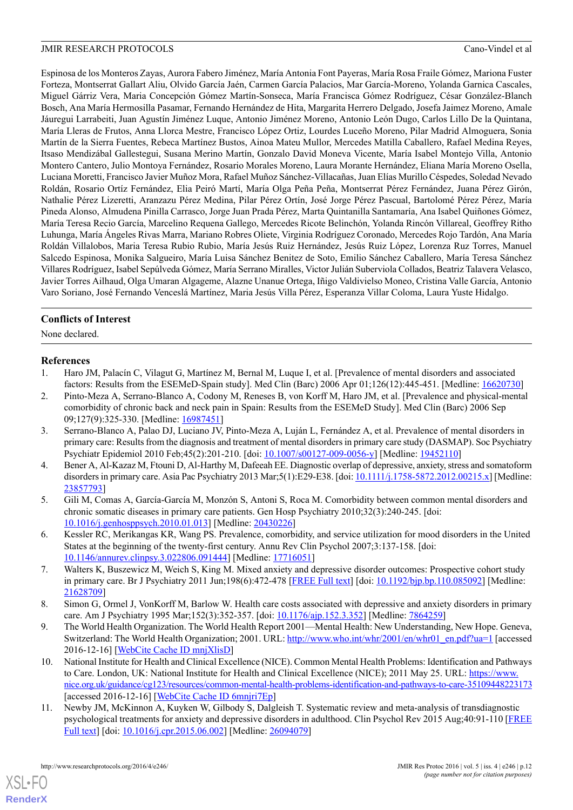Espinosa de los Monteros Zayas, Aurora Fabero Jiménez, María Antonia Font Payeras, María Rosa Fraile Gómez, Mariona Fuster Forteza, Montserrat Gallart Aliu, Olvido García Jaén, Carmen García Palacios, Mar García-Moreno, Yolanda Garnica Cascales, Miguel Gárriz Vera, Maria Concepción Gómez Martín-Sonseca, María Francisca Gómez Rodríguez, César González-Blanch Bosch, Ana María Hermosilla Pasamar, Fernando Hernández de Hita, Margarita Herrero Delgado, Josefa Jaimez Moreno, Amale Jáuregui Larrabeiti, Juan Agustín Jiménez Luque, Antonio Jiménez Moreno, Antonio León Dugo, Carlos Lillo De la Quintana, María Lleras de Frutos, Anna Llorca Mestre, Francisco López Ortiz, Lourdes Luceño Moreno, Pilar Madrid Almoguera, Sonia Martín de la Sierra Fuentes, Rebeca Martínez Bustos, Ainoa Mateu Mullor, Mercedes Matilla Caballero, Rafael Medina Reyes, Itsaso Mendizábal Gallestegui, Susana Merino Martín, Gonzalo David Moneva Vicente, María Isabel Montejo Villa, Antonio Montero Cantero, Julio Montoya Fernández, Rosario Morales Moreno, Laura Morante Hernández, Eliana María Moreno Osella, Luciana Moretti, Francisco Javier Muñoz Mora, Rafael Muñoz Sánchez-Villacañas, Juan Elías Murillo Céspedes, Soledad Nevado Roldán, Rosario Ortíz Fernández, Elia Peiró Martí, María Olga Peña Peña, Montserrat Pérez Fernández, Juana Pérez Girón, Nathalie Pérez Lizeretti, Aranzazu Pérez Medina, Pilar Pérez Ortín, José Jorge Pérez Pascual, Bartolomé Pérez Pérez, María Pineda Alonso, Almudena Pinilla Carrasco, Jorge Juan Prada Pérez, Marta Quintanilla Santamaría, Ana Isabel Quiñones Gómez, María Teresa Recio García, Marcelino Requena Gallego, Mercedes Ricote Belinchón, Yolanda Rincón Villareal, Geoffrey Ritho Luhunga, María Ángeles Rivas Marra, Mariano Robres Oliete, Virginia Rodríguez Coronado, Mercedes Rojo Tardón, Ana María Roldán Villalobos, Maria Teresa Rubio Rubio, María Jesús Ruiz Hernández, Jesús Ruiz López, Lorenza Ruz Torres, Manuel Salcedo Espinosa, Monika Salgueiro, María Luisa Sánchez Benitez de Soto, Emilio Sánchez Caballero, María Teresa Sánchez Villares Rodríguez, Isabel Sepúlveda Gómez, María Serrano Miralles, Victor Julián Suberviola Collados, Beatriz Talavera Velasco, Javier Torres Ailhaud, Olga Umaran Algageme, Alazne Unanue Ortega, Iñigo Valdivielso Moneo, Cristina Valle García, Antonio Varo Soriano, José Fernando Venceslá Martínez, Maria Jesús Villa Pérez, Esperanza Villar Coloma, Laura Yuste Hidalgo.

## **Conflicts of Interest**

<span id="page-11-0"></span>None declared.

#### <span id="page-11-1"></span>**References**

- 1. Haro JM, Palacín C, Vilagut G, Martínez M, Bernal M, Luque I, et al. [Prevalence of mental disorders and associated factors: Results from the ESEMeD-Spain study]. Med Clin (Barc) 2006 Apr 01;126(12):445-451. [Medline: [16620730\]](http://www.ncbi.nlm.nih.gov/entrez/query.fcgi?cmd=Retrieve&db=PubMed&list_uids=16620730&dopt=Abstract)
- <span id="page-11-2"></span>2. Pinto-Meza A, Serrano-Blanco A, Codony M, Reneses B, von Korff M, Haro JM, et al. [Prevalence and physical-mental comorbidity of chronic back and neck pain in Spain: Results from the ESEMeD Study]. Med Clin (Barc) 2006 Sep 09;127(9):325-330. [Medline: [16987451\]](http://www.ncbi.nlm.nih.gov/entrez/query.fcgi?cmd=Retrieve&db=PubMed&list_uids=16987451&dopt=Abstract)
- <span id="page-11-3"></span>3. Serrano-Blanco A, Palao DJ, Luciano JV, Pinto-Meza A, Luján L, Fernández A, et al. Prevalence of mental disorders in primary care: Results from the diagnosis and treatment of mental disorders in primary care study (DASMAP). Soc Psychiatry Psychiatr Epidemiol 2010 Feb;45(2):201-210. [doi: [10.1007/s00127-009-0056-y\]](http://dx.doi.org/10.1007/s00127-009-0056-y) [Medline: [19452110](http://www.ncbi.nlm.nih.gov/entrez/query.fcgi?cmd=Retrieve&db=PubMed&list_uids=19452110&dopt=Abstract)]
- <span id="page-11-4"></span>4. Bener A, Al-Kazaz M, Ftouni D, Al-Harthy M, Dafeeah EE. Diagnostic overlap of depressive, anxiety, stress and somatoform disorders in primary care. Asia Pac Psychiatry 2013 Mar;5(1):E29-E38. [doi: [10.1111/j.1758-5872.2012.00215.x](http://dx.doi.org/10.1111/j.1758-5872.2012.00215.x)] [Medline: [23857793](http://www.ncbi.nlm.nih.gov/entrez/query.fcgi?cmd=Retrieve&db=PubMed&list_uids=23857793&dopt=Abstract)]
- <span id="page-11-5"></span>5. Gili M, Comas A, García-García M, Monzón S, Antoni S, Roca M. Comorbidity between common mental disorders and chronic somatic diseases in primary care patients. Gen Hosp Psychiatry 2010;32(3):240-245. [doi: [10.1016/j.genhosppsych.2010.01.013](http://dx.doi.org/10.1016/j.genhosppsych.2010.01.013)] [Medline: [20430226\]](http://www.ncbi.nlm.nih.gov/entrez/query.fcgi?cmd=Retrieve&db=PubMed&list_uids=20430226&dopt=Abstract)
- <span id="page-11-6"></span>6. Kessler RC, Merikangas KR, Wang PS. Prevalence, comorbidity, and service utilization for mood disorders in the United States at the beginning of the twenty-first century. Annu Rev Clin Psychol 2007;3:137-158. [doi: [10.1146/annurev.clinpsy.3.022806.091444](http://dx.doi.org/10.1146/annurev.clinpsy.3.022806.091444)] [Medline: [17716051\]](http://www.ncbi.nlm.nih.gov/entrez/query.fcgi?cmd=Retrieve&db=PubMed&list_uids=17716051&dopt=Abstract)
- <span id="page-11-7"></span>7. Walters K, Buszewicz M, Weich S, King M. Mixed anxiety and depressive disorder outcomes: Prospective cohort study in primary care. Br J Psychiatry 2011 Jun;198(6):472-478 [[FREE Full text\]](http://bjp.rcpsych.org/cgi/pmidlookup?view=long&pmid=21628709) [doi: [10.1192/bjp.bp.110.085092\]](http://dx.doi.org/10.1192/bjp.bp.110.085092) [Medline: [21628709](http://www.ncbi.nlm.nih.gov/entrez/query.fcgi?cmd=Retrieve&db=PubMed&list_uids=21628709&dopt=Abstract)]
- <span id="page-11-8"></span>8. Simon G, Ormel J, VonKorff M, Barlow W. Health care costs associated with depressive and anxiety disorders in primary care. Am J Psychiatry 1995 Mar;152(3):352-357. [doi: [10.1176/ajp.152.3.352](http://dx.doi.org/10.1176/ajp.152.3.352)] [Medline: [7864259](http://www.ncbi.nlm.nih.gov/entrez/query.fcgi?cmd=Retrieve&db=PubMed&list_uids=7864259&dopt=Abstract)]
- <span id="page-11-9"></span>9. The World Health Organization. The World Health Report 2001—Mental Health: New Understanding, New Hope. Geneva, Switzerland: The World Health Organization; 2001. URL: [http://www.who.int/whr/2001/en/whr01\\_en.pdf?ua=1](http://www.who.int/whr/2001/en/whr01_en.pdf?ua=1) [accessed] 2016-12-16] [\[WebCite Cache ID mnjXlisD](http://www.webcitation.org/mnjXlisD)]
- 10. National Institute for Health and Clinical Excellence (NICE). Common Mental Health Problems: Identification and Pathways to Care. London, UK: National Institute for Health and Clinical Excellence (NICE); 2011 May 25. URL: [https://www.](https://www.nice.org.uk/guidance/cg123/resources/common-mental-health-problems-identification-and-pathways-to-care-35109448223173) [nice.org.uk/guidance/cg123/resources/common-mental-health-problems-identification-and-pathways-to-care-35109448223173](https://www.nice.org.uk/guidance/cg123/resources/common-mental-health-problems-identification-and-pathways-to-care-35109448223173) [accessed 2016-12-16] [\[WebCite Cache ID 6mnjri7Ep\]](http://www.webcitation.org/6mnjri7Ep)
- 11. Newby JM, McKinnon A, Kuyken W, Gilbody S, Dalgleish T. Systematic review and meta-analysis of transdiagnostic psychological treatments for anxiety and depressive disorders in adulthood. Clin Psychol Rev 2015 Aug;40:91-110 [\[FREE](http://linkinghub.elsevier.com/retrieve/pii/S0272-7358(15)00091-4) [Full text](http://linkinghub.elsevier.com/retrieve/pii/S0272-7358(15)00091-4)] [doi: [10.1016/j.cpr.2015.06.002](http://dx.doi.org/10.1016/j.cpr.2015.06.002)] [Medline: [26094079](http://www.ncbi.nlm.nih.gov/entrez/query.fcgi?cmd=Retrieve&db=PubMed&list_uids=26094079&dopt=Abstract)]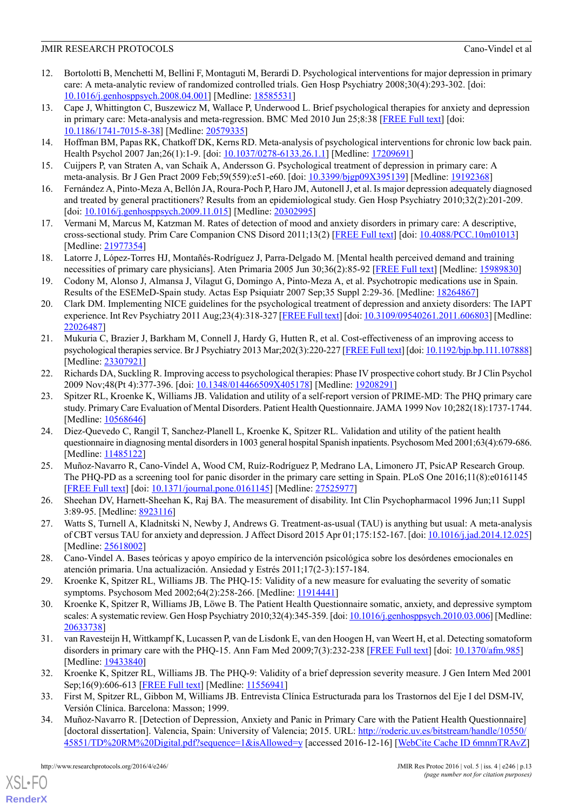- <span id="page-12-0"></span>12. Bortolotti B, Menchetti M, Bellini F, Montaguti M, Berardi D. Psychological interventions for major depression in primary care: A meta-analytic review of randomized controlled trials. Gen Hosp Psychiatry 2008;30(4):293-302. [doi: [10.1016/j.genhosppsych.2008.04.001](http://dx.doi.org/10.1016/j.genhosppsych.2008.04.001)] [Medline: [18585531\]](http://www.ncbi.nlm.nih.gov/entrez/query.fcgi?cmd=Retrieve&db=PubMed&list_uids=18585531&dopt=Abstract)
- <span id="page-12-1"></span>13. Cape J, Whittington C, Buszewicz M, Wallace P, Underwood L. Brief psychological therapies for anxiety and depression in primary care: Meta-analysis and meta-regression. BMC Med 2010 Jun 25;8:38 [[FREE Full text](https://bmcmedicine.biomedcentral.com/articles/10.1186/1741-7015-8-38)] [doi: [10.1186/1741-7015-8-38](http://dx.doi.org/10.1186/1741-7015-8-38)] [Medline: [20579335](http://www.ncbi.nlm.nih.gov/entrez/query.fcgi?cmd=Retrieve&db=PubMed&list_uids=20579335&dopt=Abstract)]
- <span id="page-12-3"></span><span id="page-12-2"></span>14. Hoffman BM, Papas RK, Chatkoff DK, Kerns RD. Meta-analysis of psychological interventions for chronic low back pain. Health Psychol 2007 Jan;26(1):1-9. [doi: [10.1037/0278-6133.26.1.1\]](http://dx.doi.org/10.1037/0278-6133.26.1.1) [Medline: [17209691](http://www.ncbi.nlm.nih.gov/entrez/query.fcgi?cmd=Retrieve&db=PubMed&list_uids=17209691&dopt=Abstract)]
- <span id="page-12-4"></span>15. Cuijpers P, van Straten A, van Schaik A, Andersson G. Psychological treatment of depression in primary care: A meta-analysis. Br J Gen Pract 2009 Feb;59(559):e51-e60. [doi: [10.3399/bjgp09X395139\]](http://dx.doi.org/10.3399/bjgp09X395139) [Medline: [19192368\]](http://www.ncbi.nlm.nih.gov/entrez/query.fcgi?cmd=Retrieve&db=PubMed&list_uids=19192368&dopt=Abstract)
- <span id="page-12-5"></span>16. Fernández A, Pinto-Meza A, Bellón JA, Roura-Poch P, Haro JM, Autonell J, et al. Is major depression adequately diagnosed and treated by general practitioners? Results from an epidemiological study. Gen Hosp Psychiatry 2010;32(2):201-209. [doi: <u>[10.1016/j.genhosppsych.2009.11.015](http://dx.doi.org/10.1016/j.genhosppsych.2009.11.015)</u>] [Medline: [20302995\]](http://www.ncbi.nlm.nih.gov/entrez/query.fcgi?cmd=Retrieve&db=PubMed&list_uids=20302995&dopt=Abstract)
- <span id="page-12-6"></span>17. Vermani M, Marcus M, Katzman M. Rates of detection of mood and anxiety disorders in primary care: A descriptive, cross-sectional study. Prim Care Companion CNS Disord 2011;13(2) [\[FREE Full text\]](http://europepmc.org/abstract/MED/21977354) [doi: [10.4088/PCC.10m01013\]](http://dx.doi.org/10.4088/PCC.10m01013) [Medline: [21977354](http://www.ncbi.nlm.nih.gov/entrez/query.fcgi?cmd=Retrieve&db=PubMed&list_uids=21977354&dopt=Abstract)]
- <span id="page-12-7"></span>18. Latorre J, López-Torres HJ, Montañés-Rodríguez J, Parra-Delgado M. [Mental health perceived demand and training necessities of primary care physicians]. Aten Primaria 2005 Jun 30;36(2):85-92 [\[FREE Full text\]](https://linkinghub.elsevier.com/retrieve/pii/13076608) [Medline: [15989830\]](http://www.ncbi.nlm.nih.gov/entrez/query.fcgi?cmd=Retrieve&db=PubMed&list_uids=15989830&dopt=Abstract)
- <span id="page-12-8"></span>19. Codony M, Alonso J, Almansa J, Vilagut G, Domingo A, Pinto-Meza A, et al. Psychotropic medications use in Spain. Results of the ESEMeD-Spain study. Actas Esp Psiquiatr 2007 Sep;35 Suppl 2:29-36. [Medline: [18264867](http://www.ncbi.nlm.nih.gov/entrez/query.fcgi?cmd=Retrieve&db=PubMed&list_uids=18264867&dopt=Abstract)]
- <span id="page-12-9"></span>20. Clark DM. Implementing NICE guidelines for the psychological treatment of depression and anxiety disorders: The IAPT experience. Int Rev Psychiatry 2011 Aug;23(4):318-327 [\[FREE Full text](http://europepmc.org/abstract/MED/22026487)] [doi: [10.3109/09540261.2011.606803](http://dx.doi.org/10.3109/09540261.2011.606803)] [Medline: [22026487](http://www.ncbi.nlm.nih.gov/entrez/query.fcgi?cmd=Retrieve&db=PubMed&list_uids=22026487&dopt=Abstract)]
- <span id="page-12-10"></span>21. Mukuria C, Brazier J, Barkham M, Connell J, Hardy G, Hutten R, et al. Cost-effectiveness of an improving access to psychological therapies service. Br J Psychiatry 2013 Mar;202(3):220-227 [\[FREE Full text](http://bjp.rcpsych.org/cgi/pmidlookup?view=long&pmid=23307921)] [doi: [10.1192/bjp.bp.111.107888\]](http://dx.doi.org/10.1192/bjp.bp.111.107888) [Medline: [23307921](http://www.ncbi.nlm.nih.gov/entrez/query.fcgi?cmd=Retrieve&db=PubMed&list_uids=23307921&dopt=Abstract)]
- <span id="page-12-11"></span>22. Richards DA, Suckling R. Improving access to psychological therapies: Phase IV prospective cohort study. Br J Clin Psychol 2009 Nov;48(Pt 4):377-396. [doi: [10.1348/014466509X405178\]](http://dx.doi.org/10.1348/014466509X405178) [Medline: [19208291](http://www.ncbi.nlm.nih.gov/entrez/query.fcgi?cmd=Retrieve&db=PubMed&list_uids=19208291&dopt=Abstract)]
- <span id="page-12-12"></span>23. Spitzer RL, Kroenke K, Williams JB. Validation and utility of a self-report version of PRIME-MD: The PHQ primary care study. Primary Care Evaluation of Mental Disorders. Patient Health Questionnaire. JAMA 1999 Nov 10;282(18):1737-1744. [Medline: [10568646](http://www.ncbi.nlm.nih.gov/entrez/query.fcgi?cmd=Retrieve&db=PubMed&list_uids=10568646&dopt=Abstract)]
- <span id="page-12-13"></span>24. Diez-Quevedo C, Rangil T, Sanchez-Planell L, Kroenke K, Spitzer RL. Validation and utility of the patient health questionnaire in diagnosing mental disorders in 1003 general hospital Spanish inpatients. Psychosom Med 2001;63(4):679-686. [Medline: [11485122](http://www.ncbi.nlm.nih.gov/entrez/query.fcgi?cmd=Retrieve&db=PubMed&list_uids=11485122&dopt=Abstract)]
- <span id="page-12-15"></span><span id="page-12-14"></span>25. Muñoz-Navarro R, Cano-Vindel A, Wood CM, Ruíz-Rodríguez P, Medrano LA, Limonero JT, PsicAP Research Group. The PHQ-PD as a screening tool for panic disorder in the primary care setting in Spain. PLoS One 2016;11(8):e0161145 [[FREE Full text](http://dx.plos.org/10.1371/journal.pone.0161145)] [doi: [10.1371/journal.pone.0161145](http://dx.doi.org/10.1371/journal.pone.0161145)] [Medline: [27525977\]](http://www.ncbi.nlm.nih.gov/entrez/query.fcgi?cmd=Retrieve&db=PubMed&list_uids=27525977&dopt=Abstract)
- <span id="page-12-16"></span>26. Sheehan DV, Harnett-Sheehan K, Raj BA. The measurement of disability. Int Clin Psychopharmacol 1996 Jun;11 Suppl 3:89-95. [Medline: [8923116](http://www.ncbi.nlm.nih.gov/entrez/query.fcgi?cmd=Retrieve&db=PubMed&list_uids=8923116&dopt=Abstract)]
- <span id="page-12-17"></span>27. Watts S, Turnell A, Kladnitski N, Newby J, Andrews G. Treatment-as-usual (TAU) is anything but usual: A meta-analysis of CBT versus TAU for anxiety and depression. J Affect Disord 2015 Apr 01;175:152-167. [doi: [10.1016/j.jad.2014.12.025](http://dx.doi.org/10.1016/j.jad.2014.12.025)] [Medline: [25618002](http://www.ncbi.nlm.nih.gov/entrez/query.fcgi?cmd=Retrieve&db=PubMed&list_uids=25618002&dopt=Abstract)]
- <span id="page-12-18"></span>28. Cano-Vindel A. Bases teóricas y apoyo empírico de la intervención psicológica sobre los desórdenes emocionales en atención primaria. Una actualización. Ansiedad y Estrés 2011;17(2-3):157-184.
- <span id="page-12-19"></span>29. Kroenke K, Spitzer RL, Williams JB. The PHQ-15: Validity of a new measure for evaluating the severity of somatic symptoms. Psychosom Med 2002;64(2):258-266. [Medline: [11914441](http://www.ncbi.nlm.nih.gov/entrez/query.fcgi?cmd=Retrieve&db=PubMed&list_uids=11914441&dopt=Abstract)]
- <span id="page-12-20"></span>30. Kroenke K, Spitzer R, Williams JB, Löwe B. The Patient Health Questionnaire somatic, anxiety, and depressive symptom scales: A systematic review. Gen Hosp Psychiatry 2010;32(4):345-359. [doi: [10.1016/j.genhosppsych.2010.03.006](http://dx.doi.org/10.1016/j.genhosppsych.2010.03.006)] [Medline: [20633738](http://www.ncbi.nlm.nih.gov/entrez/query.fcgi?cmd=Retrieve&db=PubMed&list_uids=20633738&dopt=Abstract)]
- <span id="page-12-22"></span><span id="page-12-21"></span>31. van Ravesteijn H, Wittkampf K, Lucassen P, van de Lisdonk E, van den Hoogen H, van Weert H, et al. Detecting somatoform disorders in primary care with the PHO-15. Ann Fam Med 2009;7(3):232-238 [[FREE Full text](http://www.annfammed.org/cgi/pmidlookup?view=long&pmid=19433840)] [doi: [10.1370/afm.985\]](http://dx.doi.org/10.1370/afm.985) [Medline: [19433840](http://www.ncbi.nlm.nih.gov/entrez/query.fcgi?cmd=Retrieve&db=PubMed&list_uids=19433840&dopt=Abstract)]
- 32. Kroenke K, Spitzer RL, Williams JB. The PHQ-9: Validity of a brief depression severity measure. J Gen Intern Med 2001 Sep;16(9):606-613 [[FREE Full text](http://onlinelibrary.wiley.com/resolve/openurl?genre=article&sid=nlm:pubmed&issn=0884-8734&date=2001&volume=16&issue=9&spage=606)] [Medline: [11556941\]](http://www.ncbi.nlm.nih.gov/entrez/query.fcgi?cmd=Retrieve&db=PubMed&list_uids=11556941&dopt=Abstract)
- 33. First M, Spitzer RL, Gibbon M, Williams JB. Entrevista Clínica Estructurada para los Trastornos del Eje I del DSM-IV, Versión Clínica. Barcelona: Masson; 1999.
- 34. Muñoz-Navarro R. [Detection of Depression, Anxiety and Panic in Primary Care with the Patient Health Questionnaire] [doctoral dissertation]. Valencia, Spain: University of Valencia; 2015. URL: [http://roderic.uv.es/bitstream/handle/10550/](http://roderic.uv.es/bitstream/handle/10550/45851/TD%20RM%20Digital.pdf?sequence=1&isAllowed=y) [45851/TD%20RM%20Digital.pdf?sequence=1&isAllowed=y](http://roderic.uv.es/bitstream/handle/10550/45851/TD%20RM%20Digital.pdf?sequence=1&isAllowed=y) [accessed 2016-12-16] [[WebCite Cache ID 6mnmTRAvZ](http://www.webcitation.org/6mnmTRAvZ)]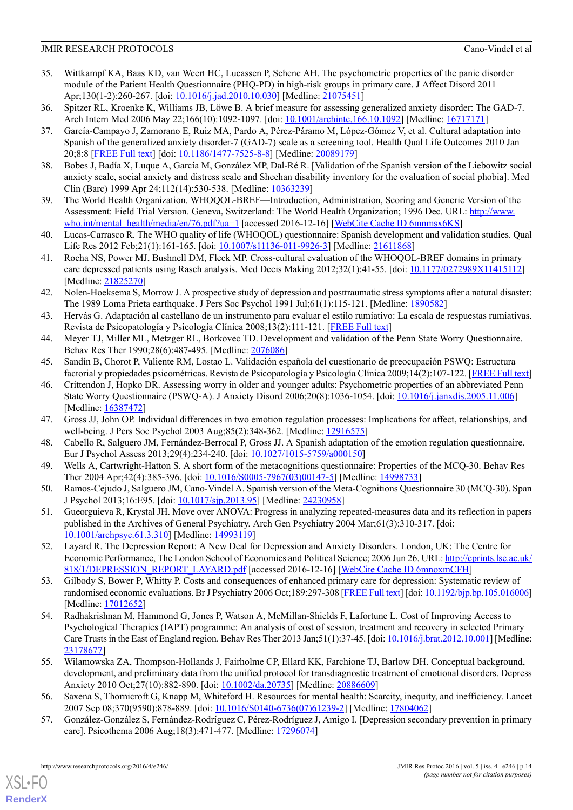- <span id="page-13-0"></span>35. Wittkampf KA, Baas KD, van Weert HC, Lucassen P, Schene AH. The psychometric properties of the panic disorder module of the Patient Health Questionnaire (PHQ-PD) in high-risk groups in primary care. J Affect Disord 2011 Apr;130(1-2):260-267. [doi: [10.1016/j.jad.2010.10.030\]](http://dx.doi.org/10.1016/j.jad.2010.10.030) [Medline: [21075451](http://www.ncbi.nlm.nih.gov/entrez/query.fcgi?cmd=Retrieve&db=PubMed&list_uids=21075451&dopt=Abstract)]
- <span id="page-13-2"></span><span id="page-13-1"></span>36. Spitzer RL, Kroenke K, Williams JB, Löwe B. A brief measure for assessing generalized anxiety disorder: The GAD-7. Arch Intern Med 2006 May 22;166(10):1092-1097. [doi: [10.1001/archinte.166.10.1092](http://dx.doi.org/10.1001/archinte.166.10.1092)] [Medline: [16717171](http://www.ncbi.nlm.nih.gov/entrez/query.fcgi?cmd=Retrieve&db=PubMed&list_uids=16717171&dopt=Abstract)]
- 37. García-Campayo J, Zamorano E, Ruiz MA, Pardo A, Pérez-Páramo M, López-Gómez V, et al. Cultural adaptation into Spanish of the generalized anxiety disorder-7 (GAD-7) scale as a screening tool. Health Qual Life Outcomes 2010 Jan 20;8:8 [[FREE Full text](https://hqlo.biomedcentral.com/articles/10.1186/1477-7525-8-8)] [doi: [10.1186/1477-7525-8-8](http://dx.doi.org/10.1186/1477-7525-8-8)] [Medline: [20089179](http://www.ncbi.nlm.nih.gov/entrez/query.fcgi?cmd=Retrieve&db=PubMed&list_uids=20089179&dopt=Abstract)]
- <span id="page-13-4"></span><span id="page-13-3"></span>38. Bobes J, Badía X, Luque A, García M, González MP, Dal-Ré R. [Validation of the Spanish version of the Liebowitz social anxiety scale, social anxiety and distress scale and Sheehan disability inventory for the evaluation of social phobia]. Med Clin (Barc) 1999 Apr 24;112(14):530-538. [Medline: [10363239\]](http://www.ncbi.nlm.nih.gov/entrez/query.fcgi?cmd=Retrieve&db=PubMed&list_uids=10363239&dopt=Abstract)
- <span id="page-13-5"></span>39. The World Health Organization. WHOQOL-BREF—Introduction, Administration, Scoring and Generic Version of the Assessment: Field Trial Version. Geneva, Switzerland: The World Health Organization; 1996 Dec. URL: [http://www.](http://www.who.int/mental_health/media/en/76.pdf?ua=1) [who.int/mental\\_health/media/en/76.pdf?ua=1](http://www.who.int/mental_health/media/en/76.pdf?ua=1) [accessed 2016-12-16] [[WebCite Cache ID 6mnmsx6KS\]](http://www.webcitation.org/6mnmsx6KS)
- <span id="page-13-6"></span>40. Lucas-Carrasco R. The WHO quality of life (WHOQOL) questionnaire: Spanish development and validation studies. Qual Life Res 2012 Feb;21(1):161-165. [doi: [10.1007/s11136-011-9926-3\]](http://dx.doi.org/10.1007/s11136-011-9926-3) [Medline: [21611868\]](http://www.ncbi.nlm.nih.gov/entrez/query.fcgi?cmd=Retrieve&db=PubMed&list_uids=21611868&dopt=Abstract)
- <span id="page-13-7"></span>41. Rocha NS, Power MJ, Bushnell DM, Fleck MP. Cross-cultural evaluation of the WHOQOL-BREF domains in primary care depressed patients using Rasch analysis. Med Decis Making 2012;32(1):41-55. [doi: [10.1177/0272989X11415112](http://dx.doi.org/10.1177/0272989X11415112)] [Medline: [21825270](http://www.ncbi.nlm.nih.gov/entrez/query.fcgi?cmd=Retrieve&db=PubMed&list_uids=21825270&dopt=Abstract)]
- <span id="page-13-8"></span>42. Nolen-Hoeksema S, Morrow J. A prospective study of depression and posttraumatic stress symptoms after a natural disaster: The 1989 Loma Prieta earthquake. J Pers Soc Psychol 1991 Jul;61(1):115-121. [Medline: [1890582](http://www.ncbi.nlm.nih.gov/entrez/query.fcgi?cmd=Retrieve&db=PubMed&list_uids=1890582&dopt=Abstract)]
- <span id="page-13-10"></span><span id="page-13-9"></span>43. Hervás G. Adaptación al castellano de un instrumento para evaluar el estilo rumiativo: La escala de respuestas rumiativas. Revista de Psicopatología y Psicología Clínica 2008;13(2):111-121. [\[FREE Full text\]](http://www.aepcp.net/arc/(4)%202008(2).Herv%C3%A1s.pdf)
- <span id="page-13-11"></span>44. Meyer TJ, Miller ML, Metzger RL, Borkovec TD. Development and validation of the Penn State Worry Questionnaire. Behav Res Ther 1990;28(6):487-495. [Medline: [2076086\]](http://www.ncbi.nlm.nih.gov/entrez/query.fcgi?cmd=Retrieve&db=PubMed&list_uids=2076086&dopt=Abstract)
- 45. Sandín B, Chorot P, Valiente RM, Lostao L. Validación española del cuestionario de preocupación PSWQ: Estructura factorial y propiedades psicométricas. Revista de Psicopatología y Psicología Clínica 2009;14(2):107-122. [\[FREE Full text\]](http://www.aepcp.net/arc/(4)_2009(2)_Sandin_Chorot_Valiente_Lostao.pdf)
- <span id="page-13-13"></span><span id="page-13-12"></span>46. Crittendon J, Hopko DR. Assessing worry in older and younger adults: Psychometric properties of an abbreviated Penn State Worry Questionnaire (PSWQ-A). J Anxiety Disord 2006;20(8):1036-1054. [doi: [10.1016/j.janxdis.2005.11.006](http://dx.doi.org/10.1016/j.janxdis.2005.11.006)] [Medline: [16387472](http://www.ncbi.nlm.nih.gov/entrez/query.fcgi?cmd=Retrieve&db=PubMed&list_uids=16387472&dopt=Abstract)]
- <span id="page-13-14"></span>47. Gross JJ, John OP. Individual differences in two emotion regulation processes: Implications for affect, relationships, and well-being. J Pers Soc Psychol 2003 Aug;85(2):348-362. [Medline: [12916575](http://www.ncbi.nlm.nih.gov/entrez/query.fcgi?cmd=Retrieve&db=PubMed&list_uids=12916575&dopt=Abstract)]
- <span id="page-13-15"></span>48. Cabello R, Salguero JM, Fernández-Berrocal P, Gross JJ. A Spanish adaptation of the emotion regulation questionnaire. Eur J Psychol Assess 2013;29(4):234-240. [doi: [10.1027/1015-5759/a000150](http://dx.doi.org/10.1027/1015-5759/a000150)]
- <span id="page-13-16"></span>49. Wells A, Cartwright-Hatton S. A short form of the metacognitions questionnaire: Properties of the MCQ-30. Behav Res Ther 2004 Apr;42(4):385-396. [doi: [10.1016/S0005-7967\(03\)00147-5\]](http://dx.doi.org/10.1016/S0005-7967(03)00147-5) [Medline: [14998733\]](http://www.ncbi.nlm.nih.gov/entrez/query.fcgi?cmd=Retrieve&db=PubMed&list_uids=14998733&dopt=Abstract)
- <span id="page-13-17"></span>50. Ramos-Cejudo J, Salguero JM, Cano-Vindel A. Spanish version of the Meta-Cognitions Questionnaire 30 (MCQ-30). Span J Psychol 2013;16:E95. [doi: [10.1017/sjp.2013.95](http://dx.doi.org/10.1017/sjp.2013.95)] [Medline: [24230958\]](http://www.ncbi.nlm.nih.gov/entrez/query.fcgi?cmd=Retrieve&db=PubMed&list_uids=24230958&dopt=Abstract)
- 51. Gueorguieva R, Krystal JH. Move over ANOVA: Progress in analyzing repeated-measures data and its reflection in papers published in the Archives of General Psychiatry. Arch Gen Psychiatry 2004 Mar;61(3):310-317. [doi: [10.1001/archpsyc.61.3.310\]](http://dx.doi.org/10.1001/archpsyc.61.3.310) [Medline: [14993119](http://www.ncbi.nlm.nih.gov/entrez/query.fcgi?cmd=Retrieve&db=PubMed&list_uids=14993119&dopt=Abstract)]
- <span id="page-13-18"></span>52. Layard R. The Depression Report: A New Deal for Depression and Anxiety Disorders. London, UK: The Centre for Economic Performance, The London School of Economics and Political Science; 2006 Jun 26. URL: [http://eprints.lse.ac.uk/](http://eprints.lse.ac.uk/818/1/DEPRESSION_REPORT_LAYARD.pdf) [818/1/DEPRESSION\\_REPORT\\_LAYARD.pdf](http://eprints.lse.ac.uk/818/1/DEPRESSION_REPORT_LAYARD.pdf) [accessed 2016-12-16] [[WebCite Cache ID 6mnoxmCFH\]](http://www.webcitation.org/6mnoxmCFH)
- <span id="page-13-19"></span>53. Gilbody S, Bower P, Whitty P. Costs and consequences of enhanced primary care for depression: Systematic review of randomised economic evaluations. Br J Psychiatry 2006 Oct;189:297-308 [[FREE Full text\]](http://bjp.rcpsych.org/cgi/pmidlookup?view=long&pmid=17012652) [doi: [10.1192/bjp.bp.105.016006\]](http://dx.doi.org/10.1192/bjp.bp.105.016006) [Medline: [17012652](http://www.ncbi.nlm.nih.gov/entrez/query.fcgi?cmd=Retrieve&db=PubMed&list_uids=17012652&dopt=Abstract)]
- <span id="page-13-20"></span>54. Radhakrishnan M, Hammond G, Jones P, Watson A, McMillan-Shields F, Lafortune L. Cost of Improving Access to Psychological Therapies (IAPT) programme: An analysis of cost of session, treatment and recovery in selected Primary Care Trusts in the East of England region. Behav Res Ther 2013 Jan;51(1):37-45. [doi: [10.1016/j.brat.2012.10.001\]](http://dx.doi.org/10.1016/j.brat.2012.10.001) [Medline: [23178677](http://www.ncbi.nlm.nih.gov/entrez/query.fcgi?cmd=Retrieve&db=PubMed&list_uids=23178677&dopt=Abstract)]
- <span id="page-13-21"></span>55. Wilamowska ZA, Thompson-Hollands J, Fairholme CP, Ellard KK, Farchione TJ, Barlow DH. Conceptual background, development, and preliminary data from the unified protocol for transdiagnostic treatment of emotional disorders. Depress Anxiety 2010 Oct;27(10):882-890. [doi: [10.1002/da.20735](http://dx.doi.org/10.1002/da.20735)] [Medline: [20886609\]](http://www.ncbi.nlm.nih.gov/entrez/query.fcgi?cmd=Retrieve&db=PubMed&list_uids=20886609&dopt=Abstract)
- 56. Saxena S, Thornicroft G, Knapp M, Whiteford H. Resources for mental health: Scarcity, inequity, and inefficiency. Lancet 2007 Sep 08;370(9590):878-889. [doi: [10.1016/S0140-6736\(07\)61239-2\]](http://dx.doi.org/10.1016/S0140-6736(07)61239-2) [Medline: [17804062](http://www.ncbi.nlm.nih.gov/entrez/query.fcgi?cmd=Retrieve&db=PubMed&list_uids=17804062&dopt=Abstract)]
- 57. González-González S, Fernández-Rodríguez C, Pérez-Rodríguez J, Amigo I. [Depression secondary prevention in primary care]. Psicothema 2006 Aug;18(3):471-477. [Medline: [17296074](http://www.ncbi.nlm.nih.gov/entrez/query.fcgi?cmd=Retrieve&db=PubMed&list_uids=17296074&dopt=Abstract)]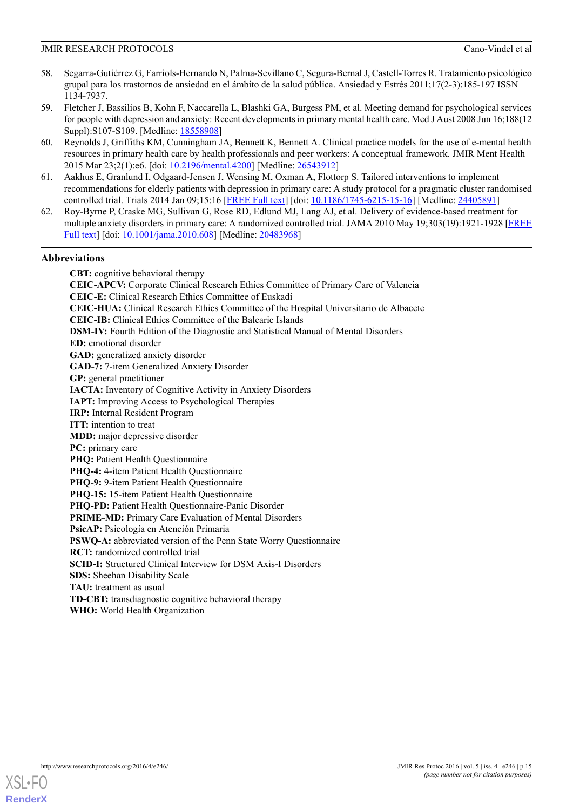- <span id="page-14-0"></span>58. Segarra-Gutiérrez G, Farriols-Hernando N, Palma-Sevillano C, Segura-Bernal J, Castell-Torres R. Tratamiento psicológico grupal para los trastornos de ansiedad en el ámbito de la salud pública. Ansiedad y Estrés 2011;17(2-3):185-197 ISSN 1134-7937.
- <span id="page-14-1"></span>59. Fletcher J, Bassilios B, Kohn F, Naccarella L, Blashki GA, Burgess PM, et al. Meeting demand for psychological services for people with depression and anxiety: Recent developments in primary mental health care. Med J Aust 2008 Jun 16;188(12 Suppl):S107-S109. [Medline: [18558908](http://www.ncbi.nlm.nih.gov/entrez/query.fcgi?cmd=Retrieve&db=PubMed&list_uids=18558908&dopt=Abstract)]
- <span id="page-14-2"></span>60. Reynolds J, Griffiths KM, Cunningham JA, Bennett K, Bennett A. Clinical practice models for the use of e-mental health resources in primary health care by health professionals and peer workers: A conceptual framework. JMIR Ment Health 2015 Mar 23;2(1):e6. [doi: [10.2196/mental.4200](http://dx.doi.org/10.2196/mental.4200)] [Medline: [26543912\]](http://www.ncbi.nlm.nih.gov/entrez/query.fcgi?cmd=Retrieve&db=PubMed&list_uids=26543912&dopt=Abstract)
- <span id="page-14-4"></span><span id="page-14-3"></span>61. Aakhus E, Granlund I, Odgaard-Jensen J, Wensing M, Oxman A, Flottorp S. Tailored interventions to implement recommendations for elderly patients with depression in primary care: A study protocol for a pragmatic cluster randomised controlled trial. Trials 2014 Jan 09;15:16 [[FREE Full text](https://trialsjournal.biomedcentral.com/articles/10.1186/1745-6215-15-16)] [doi: [10.1186/1745-6215-15-16](http://dx.doi.org/10.1186/1745-6215-15-16)] [Medline: [24405891](http://www.ncbi.nlm.nih.gov/entrez/query.fcgi?cmd=Retrieve&db=PubMed&list_uids=24405891&dopt=Abstract)]
- 62. Roy-Byrne P, Craske MG, Sullivan G, Rose RD, Edlund MJ, Lang AJ, et al. Delivery of evidence-based treatment for multiple anxiety disorders in primary care: A randomized controlled trial. JAMA 2010 May 19;303(19):1921-1928 [\[FREE](http://europepmc.org/abstract/MED/20483968) [Full text](http://europepmc.org/abstract/MED/20483968)] [doi: [10.1001/jama.2010.608\]](http://dx.doi.org/10.1001/jama.2010.608) [Medline: [20483968\]](http://www.ncbi.nlm.nih.gov/entrez/query.fcgi?cmd=Retrieve&db=PubMed&list_uids=20483968&dopt=Abstract)

#### **Abbreviations**

**CBT:** cognitive behavioral therapy **CEIC-APCV:** Corporate Clinical Research Ethics Committee of Primary Care of Valencia **CEIC-E:** Clinical Research Ethics Committee of Euskadi **CEIC-HUA:** Clinical Research Ethics Committee of the Hospital Universitario de Albacete **CEIC-IB:** Clinical Ethics Committee of the Balearic Islands **DSM-IV:** Fourth Edition of the Diagnostic and Statistical Manual of Mental Disorders **ED:** emotional disorder **GAD:** generalized anxiety disorder **GAD-7:** 7-item Generalized Anxiety Disorder **GP:** general practitioner **IACTA:** Inventory of Cognitive Activity in Anxiety Disorders **IAPT:** Improving Access to Psychological Therapies **IRP:** Internal Resident Program **ITT:** intention to treat **MDD:** major depressive disorder **PC:** primary care **PHO:** Patient Health Ouestionnaire **PHQ-4:** 4-item Patient Health Questionnaire **PHQ-9:** 9-item Patient Health Questionnaire **PHQ-15:** 15-item Patient Health Questionnaire **PHQ-PD:** Patient Health Questionnaire-Panic Disorder **PRIME-MD:** Primary Care Evaluation of Mental Disorders **PsicAP:** Psicología en Atención Primaria **PSWQ-A:** abbreviated version of the Penn State Worry Questionnaire **RCT:** randomized controlled trial **SCID-I:** Structured Clinical Interview for DSM Axis-I Disorders **SDS:** Sheehan Disability Scale **TAU:** treatment as usual **TD-CBT:** transdiagnostic cognitive behavioral therapy **WHO:** World Health Organization